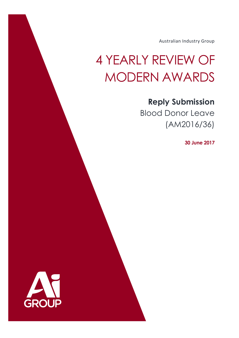Australian Industry Group

# 4 YEARLY REVIEW OF MODERN AWARDS

## **Reply Submission**

Blood Donor Leave (AM2016/36)

**30 June 2017**

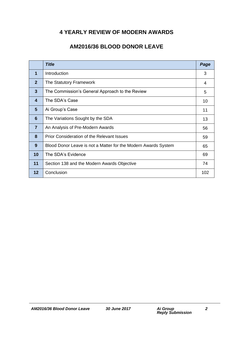## **4 YEARLY REVIEW OF MODERN AWARDS**

## **AM2016/36 BLOOD DONOR LEAVE**

|                | <b>Title</b>                                                   | Page |
|----------------|----------------------------------------------------------------|------|
| 1              | Introduction                                                   | 3    |
| $\mathbf{2}$   | The Statutory Framework                                        | 4    |
| 3              | The Commission's General Approach to the Review                | 5    |
| 4              | The SDA's Case                                                 | 10   |
| 5              | Ai Group's Case                                                | 11   |
| 6              | The Variations Sought by the SDA                               | 13   |
| $\overline{7}$ | An Analysis of Pre-Modern Awards                               | 56   |
| 8              | <b>Prior Consideration of the Relevant Issues</b>              | 59   |
| 9              | Blood Donor Leave is not a Matter for the Modern Awards System | 65   |
| 10             | The SDA's Evidence                                             | 69   |
| 11             | Section 138 and the Modern Awards Objective                    | 74   |
| 12             | Conclusion                                                     | 102  |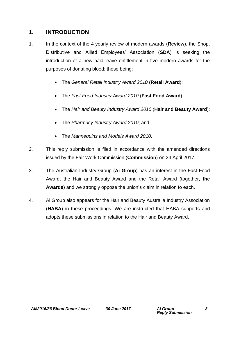## **1. INTRODUCTION**

- 1. In the context of the 4 yearly review of modern awards (**Review**), the Shop, Distributive and Allied Employees' Association (**SDA**) is seeking the introduction of a new paid leave entitlement in five modern awards for the purposes of donating blood; those being:
	- The *General Retail Industry Award 2010* (**Retail Award**);
	- The *Fast Food Industry Award 2010* (**Fast Food Award**);
	- The *Hair and Beauty Industry Award 2010* (**Hair and Beauty Award**);
	- The *Pharmacy Industry Award 2010*; and
	- The *Mannequins and Models Award 2010*.
- 2. This reply submission is filed in accordance with the amended directions issued by the Fair Work Commission (**Commission**) on 24 April 2017.
- 3. The Australian Industry Group (**Ai Group**) has an interest in the Fast Food Award, the Hair and Beauty Award and the Retail Award (together, **the Awards**) and we strongly oppose the union's claim in relation to each.
- 4. Ai Group also appears for the Hair and Beauty Australia Industry Association (**HABA**) in these proceedings. We are instructed that HABA supports and adopts these submissions in relation to the Hair and Beauty Award.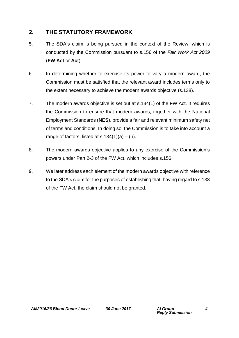## **2. THE STATUTORY FRAMEWORK**

- 5. The SDA's claim is being pursued in the context of the Review, which is conducted by the Commission pursuant to s.156 of the *Fair Work Act 2009* (**FW Act** or **Act**).
- 6. In determining whether to exercise its power to vary a modern award, the Commission must be satisfied that the relevant award includes terms only to the extent necessary to achieve the modern awards objective (s.138).
- 7. The modern awards objective is set out at s.134(1) of the FW Act. It requires the Commission to ensure that modern awards, together with the National Employment Standards (**NES**), provide a fair and relevant minimum safety net of terms and conditions. In doing so, the Commission is to take into account a range of factors, listed at  $s.134(1)(a) - (h)$ .
- 8. The modern awards objective applies to any exercise of the Commission's powers under Part 2-3 of the FW Act, which includes s.156.
- 9. We later address each element of the modern awards objective with reference to the SDA's claim for the purposes of establishing that, having regard to s.138 of the FW Act, the claim should not be granted.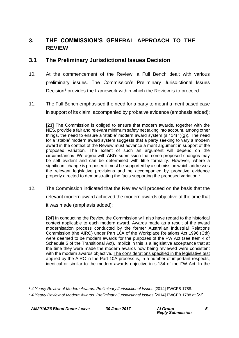## **3. THE COMMISSION'S GENERAL APPROACH TO THE REVIEW**

#### **3.1 The Preliminary Jurisdictional Issues Decision**

- 10. At the commencement of the Review, a Full Bench dealt with various preliminary issues. The Commission's Preliminary Jurisdictional Issues Decision<sup>1</sup> provides the framework within which the Review is to proceed.
- 11. The Full Bench emphasised the need for a party to mount a merit based case in support of its claim, accompanied by probative evidence (emphasis added):

**[23]** The Commission is obliged to ensure that modern awards, together with the NES, provide a fair and relevant minimum safety net taking into account, among other things, the need to ensure a 'stable' modern award system  $(s.134(1)(g))$ . The need for a 'stable' modern award system suggests that a party seeking to vary a modern award in the context of the Review must advance a merit argument in support of the proposed variation. The extent of such an argument will depend on the circumstances. We agree with ABI's submission that some proposed changes may be self evident and can be determined with little formality. However, where a significant change is proposed it must be supported by a submission which addresses the relevant legislative provisions and be accompanied by probative evidence properly directed to demonstrating the facts supporting the proposed variation.<sup>2</sup>

12. The Commission indicated that the Review will proceed on the basis that the relevant modern award achieved the modern awards objective at the time that it was made (emphasis added):

**[24]** In conducting the Review the Commission will also have regard to the historical context applicable to each modern award. Awards made as a result of the award modernisation process conducted by the former Australian Industrial Relations Commission (the AIRC) under Part 10A of the Workplace Relations Act 1996 (Cth) were deemed to be modern awards for the purposes of the FW Act (see Item 4 of Schedule 5 of the Transitional Act). Implicit in this is a legislative acceptance that at the time they were made the modern awards now being reviewed were consistent with the modern awards objective. The considerations specified in the legislative test applied by the AIRC in the Part 10A process is, in a number of important respects, identical or similar to the modern awards objective in s.134 of the FW Act. In the

<sup>1</sup> <sup>1</sup> *4 Yearly Review of Modern Awards: Preliminary Jurisdictional Issues* [2014] FWCFB 1788.

<sup>&</sup>lt;sup>2</sup> 4 Yearly Review of Modern Awards: Preliminary Jurisdictional Issues [2014] FWCFB 1788 at [23].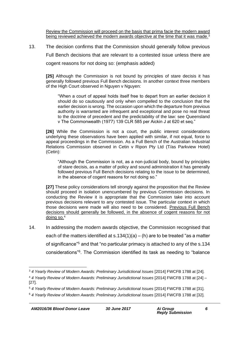Review the Commission will proceed on the basis that prima facie the modern award being reviewed achieved the modern awards objective at the time that it was made.<sup>3</sup>

13. The decision confirms that the Commission should generally follow previous Full Bench decisions that are relevant to a contested issue unless there are cogent reasons for not doing so: (emphasis added)

**[25]** Although the Commission is not bound by principles of stare decisis it has generally followed previous Full Bench decisions. In another context three members of the High Court observed in Nguyen v Nguyen:

"When a court of appeal holds itself free to depart from an earlier decision it should do so cautiously and only when compelled to the conclusion that the earlier decision is wrong. The occasion upon which the departure from previous authority is warranted are infrequent and exceptional and pose no real threat to the doctrine of precedent and the predictability of the law: see Queensland v The Commonwealth (1977) 139 CLR 585 per Aickin J at 620 et seq."

**[26]** While the Commission is not a court, the public interest considerations underlying these observations have been applied with similar, if not equal, force to appeal proceedings in the Commission. As a Full Bench of the Australian Industrial Relations Commission observed in Cetin v Ripon Pty Ltd (T/as Parkview Hotel) (Cetin):

"Although the Commission is not, as a non-judicial body, bound by principles of stare decisis, as a matter of policy and sound administration it has generally followed previous Full Bench decisions relating to the issue to be determined, in the absence of cogent reasons for not doing so."

**[27]** These policy considerations tell strongly against the proposition that the Review should proceed in isolation unencumbered by previous Commission decisions. In conducting the Review it is appropriate that the Commission take into account previous decisions relevant to any contested issue. The particular context in which those decisions were made will also need to be considered. Previous Full Bench decisions should generally be followed, in the absence of cogent reasons for not doing so.<sup>4</sup>

14. In addressing the modern awards objective, the Commission recognised that each of the matters identified at  $s.134(1)(a) - (h)$  are to be treated "as a matter of significance"<sup>5</sup> and that "no particular primacy is attached to any of the s.134 considerations"<sup>6</sup> . The Commission identified its task as needing to "balance

<sup>1</sup> <sup>3</sup> *4 Yearly Review of Modern Awards: Preliminary Jurisdictional Issues* [2014] FWCFB 1788 at [24].

<sup>4</sup> *4 Yearly Review of Modern Awards: Preliminary Jurisdictional Issues* [2014] FWCFB 1788 at [24] – [27].

<sup>5</sup> *4 Yearly Review of Modern Awards: Preliminary Jurisdictional Issues* [2014] FWCFB 1788 at [31].

<sup>6</sup> *4 Yearly Review of Modern Awards: Preliminary Jurisdictional Issues* [2014] FWCFB 1788 at [32].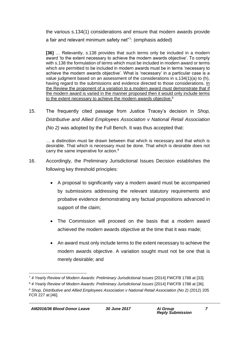the various s.134(1) considerations and ensure that modern awards provide a fair and relevant minimum safety net"<sup>7</sup>: (emphasis added)

**[36]** … Relevantly, s.138 provides that such terms only be included in a modern award 'to the extent necessary to achieve the modern awards objective'. To comply with s.138 the formulation of terms which must be included in modern award or terms which are permitted to be included in modern awards must be in terms 'necessary to achieve the modern awards objective'. What is 'necessary' in a particular case is a value judgment based on an assessment of the considerations in s.134(1)(a) to (h), having regard to the submissions and evidence directed to those considerations. In the Review the proponent of a variation to a modern award must demonstrate that if the modern award is varied in the manner proposed then it would only include terms to the extent necessary to achieve the modern awards objective.<sup>8</sup>

15. The frequently cited passage from Justice Tracey's decision in *Shop, Distributive and Allied Employees Association v National Retail Association (No 2)* was adopted by the Full Bench. It was thus accepted that:

… a distinction must be drawn between that which is necessary and that which is desirable. That which is necessary must be done. That which is desirable does not carry the same imperative for action.<sup>9</sup>

- 16. Accordingly, the Preliminary Jurisdictional Issues Decision establishes the following key threshold principles:
	- A proposal to significantly vary a modern award must be accompanied by submissions addressing the relevant statutory requirements and probative evidence demonstrating any factual propositions advanced in support of the claim;
	- The Commission will proceed on the basis that a modern award achieved the modern awards objective at the time that it was made;
	- An award must only include terms to the extent necessary to achieve the modern awards objective. A variation sought must not be one that is merely desirable; and

<sup>1</sup> <sup>7</sup> *4 Yearly Review of Modern Awards: Preliminary Jurisdictional Issues* [2014] FWCFB 1788 at [33].

<sup>8</sup> *4 Yearly Review of Modern Awards: Preliminary Jurisdictional Issues* [2014] FWCFB 1788 at [36]. <sup>9</sup> *Shop, Distributive and Allied Employees Association v National Retail Association (No 2)* (2012) 205 FCR 227 at [46].

*AM2016/36 Blood Donor Leave 30 June 2017 Ai Group*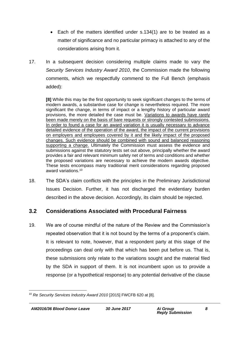- Each of the matters identified under s.134(1) are to be treated as a matter of significance and no particular primacy is attached to any of the considerations arising from it.
- 17. In a subsequent decision considering multiple claims made to vary the *Security Services Industry Award 2010*, the Commission made the following comments, which we respectfully commend to the Full Bench (emphasis added):

**[8]** While this may be the first opportunity to seek significant changes to the terms of modern awards, a substantive case for change is nevertheless required. The more significant the change, in terms of impact or a lengthy history of particular award provisions, the more detailed the case must be. Variations to awards have rarely been made merely on the basis of bare requests or strongly contested submissions. In order to found a case for an award variation it is usually necessary to advance detailed evidence of the operation of the award, the impact of the current provisions on employers and employees covered by it and the likely impact of the proposed changes. Such evidence should be combined with sound and balanced reasoning supporting a change. Ultimately the Commission must assess the evidence and submissions against the statutory tests set out above, principally whether the award provides a fair and relevant minimum safety net of terms and conditions and whether the proposed variations are necessary to achieve the modern awards objective. These tests encompass many traditional merit considerations regarding proposed award variations.<sup>10</sup>

18. The SDA's claim conflicts with the principles in the Preliminary Jurisdictional Issues Decision. Further, it has not discharged the evidentiary burden described in the above decision. Accordingly, its claim should be rejected.

## **3.2 Considerations Associated with Procedural Fairness**

19. We are of course mindful of the nature of the Review and the Commission's repeated observation that it is not bound by the terms of a proponent's claim. It is relevant to note, however, that a respondent party at this stage of the proceedings can deal only with that which has been put before us. That is, these submissions only relate to the variations sought and the material filed by the SDA in support of them. It is not incumbent upon us to provide a response (or a hypothetical response) to any potential derivative of the clause

<sup>1</sup> <sup>10</sup> *Re Security Services Industry Award 2010* [2015] FWCFB 620 at [8].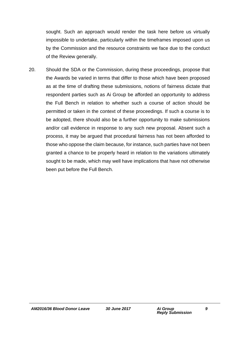sought. Such an approach would render the task here before us virtually impossible to undertake, particularly within the timeframes imposed upon us by the Commission and the resource constraints we face due to the conduct of the Review generally.

20. Should the SDA or the Commission, during these proceedings, propose that the Awards be varied in terms that differ to those which have been proposed as at the time of drafting these submissions, notions of fairness dictate that respondent parties such as Ai Group be afforded an opportunity to address the Full Bench in relation to whether such a course of action should be permitted or taken in the context of these proceedings. If such a course is to be adopted, there should also be a further opportunity to make submissions and/or call evidence in response to any such new proposal. Absent such a process, it may be argued that procedural fairness has not been afforded to those who oppose the claim because, for instance, such parties have not been granted a chance to be properly heard in relation to the variations ultimately sought to be made, which may well have implications that have not otherwise been put before the Full Bench.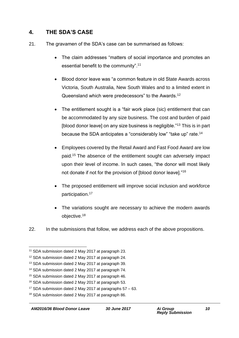## **4. THE SDA'S CASE**

- 21. The gravamen of the SDA's case can be summarised as follows:
	- The claim addresses "matters of social importance and promotes an essential benefit to the community".<sup>11</sup>
	- Blood donor leave was "a common feature in old State Awards across Victoria, South Australia, New South Wales and to a limited extent in Queensland which were predecessors" to the Awards.<sup>12</sup>
	- The entitlement sought is a "fair work place (sic) entitlement that can be accommodated by any size business. The cost and burden of paid [blood donor leave] on any size business is negligible."<sup>13</sup> This is in part because the SDA anticipates a "considerably low" "take up" rate.<sup>14</sup>
	- Employees covered by the Retail Award and Fast Food Award are low paid.<sup>15</sup> The absence of the entitlement sought can adversely impact upon their level of income. In such cases, "the donor will most likely not donate if not for the provision of [blood donor leave]."<sup>16</sup>
	- The proposed entitlement will improve social inclusion and workforce participation.<sup>17</sup>
	- The variations sought are necessary to achieve the modern awards objective.<sup>18</sup>
- 22. In the submissions that follow, we address each of the above propositions.

<sup>&</sup>lt;sup>11</sup> SDA submission dated 2 May 2017 at paragraph 23.

<sup>12</sup> SDA submission dated 2 May 2017 at paragraph 24.

<sup>13</sup> SDA submission dated 2 May 2017 at paragraph 39.

<sup>14</sup> SDA submission dated 2 May 2017 at paragraph 74.

<sup>15</sup> SDA submission dated 2 May 2017 at paragraph 46.

<sup>16</sup> SDA submission dated 2 May 2017 at paragraph 53.

<sup>&</sup>lt;sup>17</sup> SDA submission dated 2 May 2017 at paragraphs  $57 - 63$ .

<sup>18</sup> SDA submission dated 2 May 2017 at paragraph 86.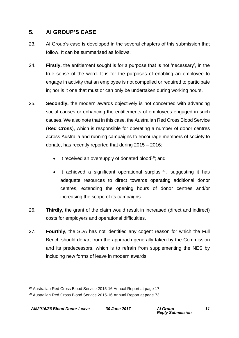## **5. Ai GROUP'S CASE**

- 23. Ai Group's case is developed in the several chapters of this submission that follow. It can be summarised as follows.
- 24. **Firstly,** the entitlement sought is for a purpose that is not 'necessary', in the true sense of the word. It is for the purposes of enabling an employee to engage in activity that an employee is not compelled or required to participate in; nor is it one that must or can only be undertaken during working hours.
- 25. **Secondly,** the modern awards objectively is not concerned with advancing social causes or enhancing the entitlements of employees engaged in such causes. We also note that in this case, the Australian Red Cross Blood Service (**Red Cross**), which is responsible for operating a number of donor centres across Australia and running campaigns to encourage members of society to donate, has recently reported that during 2015 – 2016:
	- $\bullet$  It received an oversupply of donated blood<sup>19</sup>; and
	- It achieved a significant operational surplus  $20$ , suggesting it has adequate resources to direct towards operating additional donor centres, extending the opening hours of donor centres and/or increasing the scope of its campaigns.
- 26. **Thirdly,** the grant of the claim would result in increased (direct and indirect) costs for employers and operational difficulties.
- 27. **Fourthly,** the SDA has not identified any cogent reason for which the Full Bench should depart from the approach generally taken by the Commission and its predecessors, which is to refrain from supplementing the NES by including new forms of leave in modern awards.

<sup>1</sup> <sup>19</sup> Australian Red Cross Blood Service 2015-16 Annual Report at page 17.

<sup>&</sup>lt;sup>20</sup> Australian Red Cross Blood Service 2015-16 Annual Report at page 73.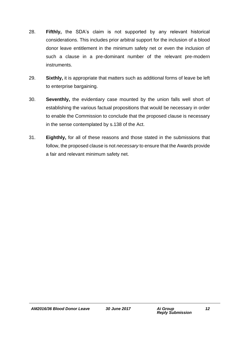- 28. **Fifthly,** the SDA's claim is not supported by any relevant historical considerations. This includes prior arbitral support for the inclusion of a blood donor leave entitlement in the minimum safety net or even the inclusion of such a clause in a pre-dominant number of the relevant pre-modern instruments.
- 29. **Sixthly,** it is appropriate that matters such as additional forms of leave be left to enterprise bargaining.
- 30. **Seventhly,** the evidentiary case mounted by the union falls well short of establishing the various factual propositions that would be necessary in order to enable the Commission to conclude that the proposed clause is necessary in the sense contemplated by s.138 of the Act.
- 31. **Eighthly,** for all of these reasons and those stated in the submissions that follow, the proposed clause is not *necessary* to ensure that the Awards provide a fair and relevant minimum safety net.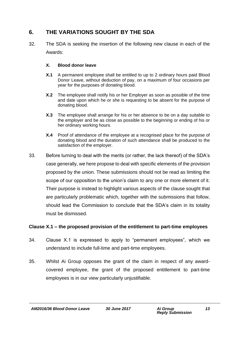## **6. THE VARIATIONS SOUGHT BY THE SDA**

32. The SDA is seeking the insertion of the following new clause in each of the Awards:

#### **X. Blood donor leave**

- **X.1** A permanent employee shall be entitled to up to 2 ordinary hours paid Blood Donor Leave, without deduction of pay, on a maximum of four occasions per year for the purposes of donating blood.
- **X.2** The employee shall notify his or her Employer as soon as possible of the time and date upon which he or she is requesting to be absent for the purpose of donating blood.
- **X.3** The employee shall arrange for his or her absence to be on a day suitable to the employer and be as close as possible to the beginning or ending of his or her ordinary working hours.
- **X.4** Proof of attendance of the employee at a recognised place for the purpose of donating blood and the duration of such attendance shall be produced to the satisfaction of the employer.
- 33. Before turning to deal with the merits (or rather, the lack thereof) of the SDA's case generally, we here propose to deal with specific elements of the provision proposed by the union. These submissions should not be read as limiting the scope of our opposition to the union's claim to any one or more element of it. Their purpose is instead to highlight various aspects of the clause sought that are particularly problematic which, together with the submissions that follow, should lead the Commission to conclude that the SDA's claim in its totality must be dismissed.

#### **Clause X.1 – the proposed provision of the entitlement to part-time employees**

- 34. Clause X.1 is expressed to apply to "permanent employees", which we understand to include full-time and part-time employees.
- 35. Whilst Ai Group opposes the grant of the claim in respect of any awardcovered employee, the grant of the proposed entitlement to part-time employees is in our view particularly unjustifiable.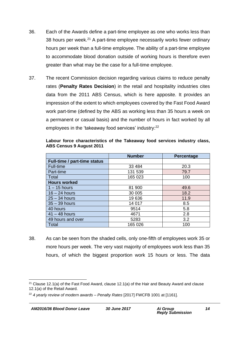- 36. Each of the Awards define a part-time employee as one who works less than 38 hours per week.<sup>21</sup> A part-time employee necessarily works fewer ordinary hours per week than a full-time employee. The ability of a part-time employee to accommodate blood donation outside of working hours is therefore even greater than what may be the case for a full-time employee.
- 37. The recent Commission decision regarding various claims to reduce penalty rates (**Penalty Rates Decision**) in the retail and hospitality industries cites data from the 2011 ABS Census, which is here apposite. It provides an impression of the extent to which employees covered by the Fast Food Award work part-time (defined by the ABS as working less than 35 hours a week on a permanent or casual basis) and the number of hours in fact worked by all employees in the 'takeaway food services' industry:<sup>22</sup>

|                              | <b>Number</b> | Percentage |
|------------------------------|---------------|------------|
| Full-time / part-time status |               |            |
| Full-time                    | 33 4 84       | 20.3       |
| Part-time                    | 131 539       | 79.7       |
| Total                        | 165 023       | 100        |
| <b>Hours worked</b>          |               |            |
| $1 - 15$ hours               | 81 900        | 49.6       |
| $16 - 24$ hours              | 30 005        | 18.2       |
| $25 - 34$ hours              | 19636         | 11.9       |
| $35 - 39$ hours              | 14 017        | 8.5        |
| 40 hours                     | 9514          | 5.8        |
| $41 - 48$ hours              | 4671          | 2.8        |
| 49 hours and over            | 5283          | 3.2        |
| Total                        | 165 026       | 100        |

#### **Labour force characteristics of the Takeaway food services industry class, ABS Census 9 August 2011**

38. As can be seen from the shaded cells, only one-fifth of employees work 35 or more hours per week. The very vast majority of employees work less than 35 hours, of which the biggest proportion work 15 hours or less. The data

<sup>&</sup>lt;sup>21</sup> Clause 12.1(a) of the Fast Food Award, clause 12.1(a) of the Hair and Beauty Award and clause 12.1(a) of the Retail Award.

<sup>22</sup> *4 yearly review of modern awards – Penalty Rates* [2017] FWCFB 1001 at [1161].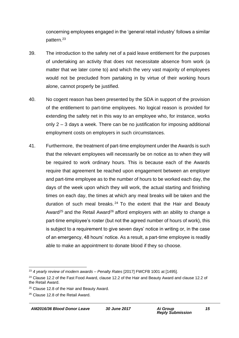concerning employees engaged in the 'general retail industry' follows a similar pattern.<sup>23</sup>

- 39. The introduction to the safety net of a paid leave entitlement for the purposes of undertaking an activity that does not necessitate absence from work (a matter that we later come to) and which the very vast majority of employees would not be precluded from partaking in by virtue of their working hours alone, cannot properly be justified.
- 40. No cogent reason has been presented by the SDA in support of the provision of the entitlement to part-time employees. No logical reason is provided for extending the safety net in this way to an employee who, for instance, works only 2 – 3 days a week. There can be no justification for imposing additional employment costs on employers in such circumstances.
- 41. Furthermore, the treatment of part-time employment under the Awards is such that the relevant employees will necessarily be on notice as to when they will be required to work ordinary hours. This is because each of the Awards require that agreement be reached upon engagement between an employer and part-time employee as to the number of hours to be worked each day, the days of the week upon which they will work, the actual starting and finishing times on each day, the times at which any meal breaks will be taken and the duration of such meal breaks.  $24$  To the extent that the Hair and Beauty Award<sup>25</sup> and the Retail Award<sup>26</sup> afford employers with an ability to change a part-time employee's roster (but not the agreed number of hours of work), this is subject to a requirement to give seven days' notice in writing or, in the case of an emergency, 48 hours' notice. As a result, a part-time employee is readily able to make an appointment to donate blood if they so choose.

<sup>1</sup> <sup>23</sup> *4 yearly review of modern awards – Penalty Rates* [2017] FWCFB 1001 at [1495].

<sup>&</sup>lt;sup>24</sup> Clause 12.2 of the Fast Food Award, clause 12.2 of the Hair and Beauty Award and clause 12.2 of the Retail Award.

<sup>&</sup>lt;sup>25</sup> Clause 12.8 of the Hair and Beauty Award.

<sup>26</sup> Clause 12.8 of the Retail Award.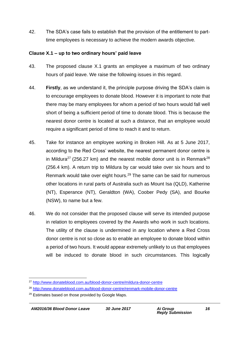42. The SDA's case fails to establish that the provision of the entitlement to parttime employees is necessary to achieve the modern awards objective.

#### **Clause X.1 – up to two ordinary hours' paid leave**

- 43. The proposed clause X.1 grants an employee a maximum of two ordinary hours of paid leave. We raise the following issues in this regard.
- 44. **Firstly**, as we understand it, the principle purpose driving the SDA's claim is to encourage employees to donate blood. However it is important to note that there may be many employees for whom a period of two hours would fall well short of being a sufficient period of time to donate blood. This is because the nearest donor centre is located at such a distance, that an employee would require a significant period of time to reach it and to return.
- 45. Take for instance an employee working in Broken Hill. As at 5 June 2017, according to the Red Cross' website, the nearest permanent donor centre is in Mildura<sup>27</sup> (256.27 km) and the nearest mobile donor unit is in Renmark<sup>28</sup> (256.4 km). A return trip to Mildura by car would take over six hours and to Renmark would take over eight hours.<sup>29</sup> The same can be said for numerous other locations in rural parts of Australia such as Mount Isa (QLD), Katherine (NT), Esperance (NT), Geraldton (WA), Coober Pedy (SA), and Bourke (NSW), to name but a few.
- 46. We do not consider that the proposed clause will serve its intended purpose in relation to employees covered by the Awards who work in such locations. The utility of the clause is undermined in any location where a Red Cross donor centre is not so close as to enable an employee to donate blood within a period of two hours. It would appear extremely unlikely to us that employees will be induced to donate blood in such circumstances. This logically

<sup>27</sup> <http://www.donateblood.com.au/blood-donor-centre/mildura-donor-centre>

<sup>28</sup> <http://www.donateblood.com.au/blood-donor-centre/renmark-mobile-donor-centre>

<sup>&</sup>lt;sup>29</sup> Estimates based on those provided by Google Maps.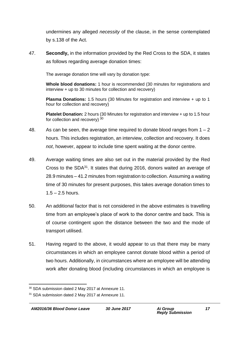undermines any alleged *necessity* of the clause, in the sense contemplated by s.138 of the Act.

47. **Secondly,** in the information provided by the Red Cross to the SDA, it states as follows regarding average donation times:

The average donation time will vary by donation type:

**Whole blood donations:** 1 hour is recommended (30 minutes for registrations and interview + up to 30 minutes for collection and recovery)

**Plasma Donations:** 1.5 hours (30 Minutes for registration and interview + up to 1 hour for collection and recovery)

**Platelet Donation:** 2 hours (30 Minutes for registration and interview + up to 1.5 hour for collection and recovery) 30

- 48. As can be seen, the average time required to donate blood ranges from  $1 2$ hours. This includes registration, an interview, collection and recovery. It does *not*, however, appear to include time spent waiting at the donor centre.
- 49. Average waiting times are also set out in the material provided by the Red Cross to the SDA<sup>31</sup>. It states that during 2016, donors waited an average of 28.9 minutes – 41.2 minutes from registration to collection. Assuming a waiting time of 30 minutes for present purposes, this takes average donation times to  $1.5 - 2.5$  hours.
- 50. An additional factor that is not considered in the above estimates is travelling time from an employee's place of work to the donor centre and back. This is of course contingent upon the distance between the two and the mode of transport utilised.
- 51. Having regard to the above, it would appear to us that there may be many circumstances in which an employee cannot donate blood within a period of two hours. Additionally, in circumstances where an employee will be attending work after donating blood (including circumstances in which an employee is

<sup>30</sup> SDA submission dated 2 May 2017 at Annexure 11.

<sup>&</sup>lt;sup>31</sup> SDA submission dated 2 May 2017 at Annexure 11.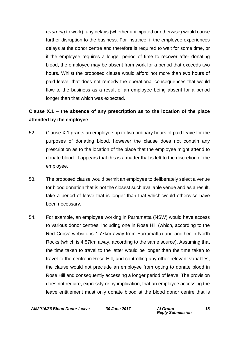*returning* to work), any delays (whether anticipated or otherwise) would cause further disruption to the business. For instance, if the employee experiences delays at the donor centre and therefore is required to wait for some time, or if the employee requires a longer period of time to recover after donating blood, the employee may be absent from work for a period that exceeds two hours. Whilst the proposed clause would afford not more than two hours of paid leave, that does not remedy the operational consequences that would flow to the business as a result of an employee being absent for a period longer than that which was expected.

## **Clause X.1 – the absence of any prescription as to the location of the place attended by the employee**

- 52. Clause X.1 grants an employee up to two ordinary hours of paid leave for the purposes of donating blood, however the clause does not contain any prescription as to the location of the place that the employee might attend to donate blood. It appears that this is a matter that is left to the discretion of the employee.
- 53. The proposed clause would permit an employee to deliberately select a venue for blood donation that is not the closest such available venue and as a result, take a period of leave that is longer than that which would otherwise have been necessary.
- 54. For example, an employee working in Parramatta (NSW) would have access to various donor centres, including one in Rose Hill (which, according to the Red Cross' website is 1.77km away from Parramatta) and another in North Rocks (which is 4.57km away, according to the same source). Assuming that the time taken to travel to the latter would be longer than the time taken to travel to the centre in Rose Hill, and controlling any other relevant variables, the clause would not preclude an employee from opting to donate blood in Rose Hill and consequently accessing a longer period of leave. The provision does not require, expressly or by implication, that an employee accessing the leave entitlement must only donate blood at the blood donor centre that is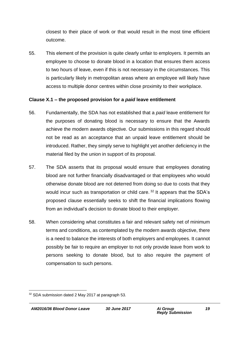closest to their place of work or that would result in the most time efficient outcome.

55. This element of the provision is quite clearly unfair to employers. It permits an employee to choose to donate blood in a location that ensures them access to two hours of leave, even if this is not necessary in the circumstances. This is particularly likely in metropolitan areas where an employee will likely have access to multiple donor centres within close proximity to their workplace.

#### **Clause X.1 – the proposed provision for a** *paid* **leave entitlement**

- 56. Fundamentally, the SDA has not established that a *paid* leave entitlement for the purposes of donating blood is necessary to ensure that the Awards achieve the modern awards objective. Our submissions in this regard should not be read as an acceptance that an unpaid leave entitlement should be introduced. Rather, they simply serve to highlight yet another deficiency in the material filed by the union in support of its proposal.
- 57. The SDA asserts that its proposal would ensure that employees donating blood are not further financially disadvantaged or that employees who would otherwise donate blood are not deterred from doing so due to costs that they would incur such as transportation or child care.<sup>32</sup> It appears that the SDA's proposed clause essentially seeks to shift the financial implications flowing from an individual's decision to donate blood to their employer.
- 58. When considering what constitutes a fair and relevant safety net of minimum terms and conditions, as contemplated by the modern awards objective, there is a need to balance the interests of both employers and employees. It cannot possibly be fair to require an employer to not only provide leave from work to persons seeking to donate blood, but to also require the payment of compensation to such persons.

<sup>1</sup> <sup>32</sup> SDA submission dated 2 May 2017 at paragraph 53.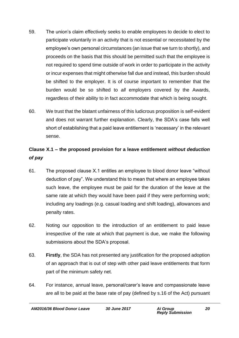- 59. The union's claim effectively seeks to enable employees to decide to elect to participate voluntarily in an activity that is not essential or necessitated by the employee's own personal circumstances (an issue that we turn to shortly), and proceeds on the basis that this should be permitted such that the employee is not required to spend time outside of work in order to participate in the activity or incur expenses that might otherwise fall due and instead, this burden should be shifted to the employer. It is of course important to remember that the burden would be so shifted to *all* employers covered by the Awards, regardless of their ability to in fact accommodate that which is being sought.
- 60. We trust that the blatant unfairness of this ludicrous proposition is self-evident and does not warrant further explanation. Clearly, the SDA's case falls well short of establishing that a paid leave entitlement is 'necessary' in the relevant sense.

## **Clause X.1 – the proposed provision for a leave entitlement** *without deduction of pay*

- 61. The proposed clause X.1 entitles an employee to blood donor leave "without deduction of pay". We understand this to mean that where an employee takes such leave, the employee must be paid for the duration of the leave at the same rate at which they would have been paid if they were performing work; including any loadings (e.g. casual loading and shift loading), allowances and penalty rates.
- 62. Noting our opposition to the introduction of an entitlement to paid leave irrespective of the rate at which that payment is due, we make the following submissions about the SDA's proposal.
- 63. **Firstly**, the SDA has not presented any justification for the proposed adoption of an approach that is out of step with other paid leave entitlements that form part of the minimum safety net.
- 64. For instance, annual leave, personal/carer's leave and compassionate leave are all to be paid at the base rate of pay (defined by s.16 of the Act) pursuant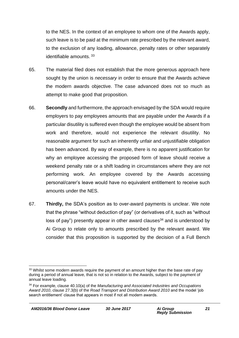to the NES. In the context of an employee to whom one of the Awards apply, such leave is to be paid at the minimum rate prescribed by the relevant award, to the exclusion of any loading, allowance, penalty rates or other separately identifiable amounts. 33

- 65. The material filed does not establish that the more generous approach here sought by the union is *necessary* in order to ensure that the Awards achieve the modern awards objective. The case advanced does not so much as attempt to make good that proposition.
- 66. **Secondly** and furthermore, the approach envisaged by the SDA would require employers to pay employees amounts that are payable under the Awards if a particular disutility is suffered even though the employee would be absent from work and therefore, would not experience the relevant disutility. No reasonable argument for such an inherently unfair and unjustifiable obligation has been advanced. By way of example, there is no apparent justification for why an employee accessing the proposed form of leave should receive a weekend penalty rate or a shift loading in circumstances where they are not performing work. An employee covered by the Awards accessing personal/carer's leave would have no equivalent entitlement to receive such amounts under the NES.
- 67. **Thirdly,** the SDA's position as to over-award payments is unclear. We note that the phrase "without deduction of pay" (or derivatives of it, such as "without loss of pay") presently appear in other award clauses<sup>34</sup> and is understood by Ai Group to relate only to amounts prescribed by the relevant award. We consider that this proposition is supported by the decision of a Full Bench

<sup>&</sup>lt;sup>33</sup> Whilst some modern awards require the payment of an amount higher than the base rate of pay during a period of annual leave, that is not so in relation to the Awards, subject to the payment of annual leave loading.

<sup>34</sup> For example, clause 40.10(a) of the *Manufacturing and Associated Industries and Occupations Award 2010*, clause 27.3(b) of the *Road Transport and Distribution Award 2010* and the model 'job search entitlement' clause that appears in most if not all modern awards.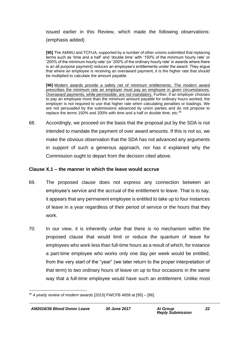issued earlier in this Review, which made the following observations: (emphasis added)

**[95]** The AMWU and TCFUA, supported by a number of other unions submitted that replacing terms such as 'time and a half' and 'double time' with '150% of the minimum hourly rate' or '200% of the minimum hourly rate' (or '200% of the ordinary hourly rate' in awards where there is an all purpose payment) reduces an employee's entitlements under the award. They argue that where an employee is receiving an overaward payment, it is the higher rate that should be multiplied to calculate the amount payable.

**[96]** Modern awards provide a safety net of minimum entitlements. The modern award prescribes the minimum rate an employer must pay an employee in given circumstances. Overaward payments, while permissible, are not mandatory. Further, if an employer chooses to pay an employee more than the minimum amount payable for ordinary hours worked, the employer is not required to use that higher rate when calculating penalties or loadings. We are not persuaded by the submissions advanced by union parties and do not propose to replace the terms 150% and 200% with time and a half or double time, etc.<sup>35</sup>

68. Accordingly, we proceed on the basis that the proposal put by the SDA is not intended to mandate the payment of over award amounts. If this is not so, we make the obvious observation that the SDA has not advanced any arguments in support of such a generous approach, nor has it explained why the Commission ought to depart from the decision cited above.

#### **Clause X.1 – the manner in which the leave would accrue**

- 69. The proposed clause does not express any connection between an employee's service and the accrual of the entitlement to leave. That is to say, it appears that any permanent employee is entitled to take up to four instances of leave in a year regardless of their period of service or the hours that they work.
- 70. In our view, it is inherently unfair that there is no mechanism within the proposed clause that would limit or reduce the quantum of leave for employees who work less than full-time hours as a result of which, for instance a part-time employee who works only one day per week would be entitled, from the very start of the "year" (we later return to the proper interpretation of that term) to two ordinary hours of leave on up to four occasions in the same way that a full-time employee would have such an entitlement. Unlike most

<sup>1</sup> <sup>35</sup> *4 yearly review of modern awards* [2015] FWCFB 4658 at [95] – [96].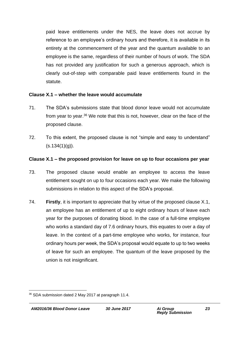paid leave entitlements under the NES, the leave does not accrue by reference to an employee's ordinary hours and therefore, it is available in its entirety at the commencement of the year and the quantum available to an employee is the same, regardless of their number of hours of work. The SDA has not provided any justification for such a generous approach, which is clearly out-of-step with comparable paid leave entitlements found in the statute.

#### **Clause X.1 – whether the leave would accumulate**

- 71. The SDA's submissions state that blood donor leave would not accumulate from year to year.<sup>36</sup> We note that this is not, however, clear on the face of the proposed clause.
- 72. To this extent, the proposed clause is not "simple and easy to understand"  $(s.134(1)(q)).$

#### **Clause X.1 – the proposed provision for leave on up to four occasions per year**

- 73. The proposed clause would enable an employee to access the leave entitlement sought on up to four occasions each year. We make the following submissions in relation to this aspect of the SDA's proposal.
- 74. **Firstly**, it is important to appreciate that by virtue of the proposed clause X.1, an employee has an entitlement of up to eight ordinary hours of leave each year for the purposes of donating blood. In the case of a full-time employee who works a standard day of 7.6 ordinary hours, this equates to over a day of leave. In the context of a part-time employee who works, for instance, four ordinary hours per week, the SDA's proposal would equate to up to two weeks of leave for such an employee. The quantum of the leave proposed by the union is not insignificant.

<sup>1</sup> <sup>36</sup> SDA submission dated 2 May 2017 at paragraph 11.4.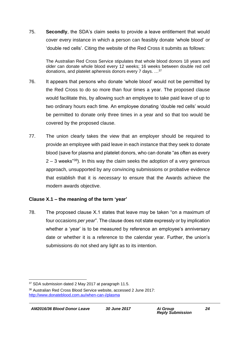75. **Secondly**, the SDA's claim seeks to provide a leave entitlement that would cover every instance in which a person can feasibly donate 'whole blood' or 'double red cells'. Citing the website of the Red Cross it submits as follows:

The Australian Red Cross Service stipulates that whole blood donors 18 years and older can donate whole blood every 12 weeks; 16 weeks between double red cell donations, and platelet apheresis donors every 7 days. …<sup>37</sup>

- 76. It appears that persons who donate 'whole blood' would not be permitted by the Red Cross to do so more than four times a year. The proposed clause would facilitate this, by allowing such an employee to take paid leave of up to two ordinary hours each time. An employee donating 'double red cells' would be permitted to donate only three times in a year and so that too would be covered by the proposed clause.
- 77. The union clearly takes the view that an employer should be required to provide an employee with paid leave in each instance that they seek to donate blood (save for plasma and platelet donors, who can donate "as often as every  $2 - 3$  weeks<sup>"38</sup>). In this way the claim seeks the adoption of a very generous approach, unsupported by any convincing submissions or probative evidence that establish that it is *necessary* to ensure that the Awards achieve the modern awards objective.

#### **Clause X.1 – the meaning of the term 'year'**

78. The proposed clause X.1 states that leave may be taken "on a maximum of four occasions *per year*". The clause does not state expressly or by implication whether a 'year' is to be measured by reference an employee's anniversary date or whether it is a reference to the calendar year. Further, the union's submissions do not shed any light as to its intention.

<sup>37</sup> SDA submission dated 2 May 2017 at paragraph 11.5.

<sup>38</sup> Australian Red Cross Blood Service website, accessed 2 June 2017: <http://www.donateblood.com.au/when-can-i/plasma>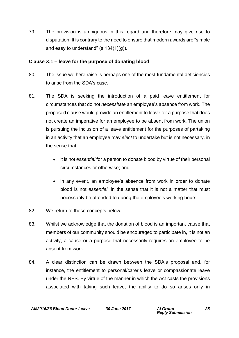79. The provision is ambiguous in this regard and therefore may give rise to disputation. It is contrary to the need to ensure that modern awards are "simple and easy to understand"  $(s.134(1)(g))$ .

#### **Clause X.1 – leave for the purpose of donating blood**

- 80. The issue we here raise is perhaps one of the most fundamental deficiencies to arise from the SDA's case.
- 81. The SDA is seeking the introduction of a paid leave entitlement for circumstances that do not *necessitate* an employee's absence from work. The proposed clause would provide an entitlement to leave for a purpose that does not create an imperative for an employee to be absent from work. The union is pursuing the inclusion of a leave entitlement for the purposes of partaking in an activity that an employee may *elect* to undertake but is not necessary, in the sense that:
	- it is not *essential* for a person to donate blood by virtue of their personal circumstances or otherwise; and
	- in any event, an employee's absence from work in order to donate blood is not *essential*, in the sense that it is not a matter that must necessarily be attended to during the employee's working hours.
- 82. We return to these concepts below.
- 83. Whilst we acknowledge that the donation of blood is an important cause that members of our community should be encouraged to participate in, it is not an activity, a cause or a purpose that necessarily requires an employee to be absent from work.
- 84. A clear distinction can be drawn between the SDA's proposal and, for instance, the entitlement to personal/carer's leave or compassionate leave under the NES. By virtue of the manner in which the Act casts the provisions associated with taking such leave, the ability to do so arises only in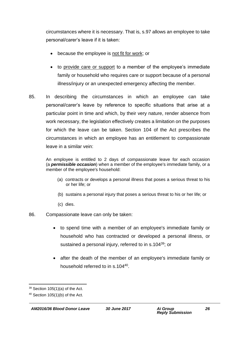circumstances where it is necessary. That is, s.97 allows an employee to take personal/carer's leave if it is taken:

- because the employee is not fit for work; or
- to provide care or support to a member of the employee's immediate family or household who requires care or support because of a personal illness/injury or an unexpected emergency affecting the member.
- 85. In describing the circumstances in which an employee can take personal/carer's leave by reference to specific situations that arise at a particular point in time and which, by their very nature, render absence from work necessary, the legislation effectively creates a limitation on the purposes for which the leave can be taken. Section 104 of the Act prescribes the circumstances in which an employee has an entitlement to compassionate leave in a similar vein:

An employee is entitled to 2 days of compassionate leave for each occasion (a *permissible occasion*) when a member of the employee's immediate family, or a member of the employee's household:

- (a) contracts or develops a personal illness that poses a serious threat to his or her life; or
- (b) sustains a personal injury that poses a serious threat to his or her life; or
- (c) dies.
- 86. Compassionate leave can only be taken:
	- to spend time with a member of an employee's immediate family or household who has contracted or developed a personal illness, or sustained a personal injury, referred to in s.104<sup>39</sup>; or
	- after the death of the member of an employee's immediate family or household referred to in s.104<sup>40</sup>.

<sup>1</sup>  $39$  Section 105(1)(a) of the Act.

 $40$  Section 105(1)(b) of the Act.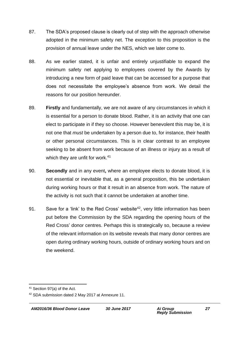- 87. The SDA's proposed clause is clearly out of step with the approach otherwise adopted in the minimum safety net. The exception to this proposition is the provision of annual leave under the NES, which we later come to.
- 88. As we earlier stated, it is unfair and entirely unjustifiable to expand the minimum safety net applying to employees covered by the Awards by introducing a new form of paid leave that can be accessed for a purpose that does not necessitate the employee's absence from work. We detail the reasons for our position hereunder.
- 89. **Firstly** and fundamentally, we are not aware of any circumstances in which it is essential for a person to donate blood. Rather, it is an activity that one can elect to participate in if they so choose. However benevolent this may be, it is not one that *must* be undertaken by a person due to, for instance, their health or other personal circumstances. This is in clear contrast to an employee seeking to be absent from work because of an illness or injury as a result of which they are unfit for work.<sup>41</sup>
- 90. **Secondly** and in any event**,** where an employee elects to donate blood, it is not essential or inevitable that, as a general proposition, this be undertaken during working hours or that it result in an absence from work. The nature of the activity is not such that it cannot be undertaken at another time.
- 91. Save for a 'link' to the Red Cross' website<sup>42</sup>, very little information has been put before the Commission by the SDA regarding the opening hours of the Red Cross' donor centres. Perhaps this is strategically so, because a review of the relevant information on its website reveals that many donor centres are open during ordinary working hours, outside of ordinary working hours and on the weekend.

<sup>41</sup> Section 97(a) of the Act.

<sup>42</sup> SDA submission dated 2 May 2017 at Annexure 11.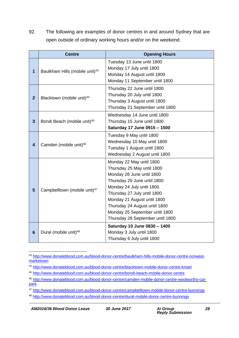92. The following are examples of donor centres in and around Sydney that are open outside of ordinary working hours and/or on the weekend:

|                         | <b>Centre</b>                              | <b>Opening Hours</b>                                                                                                                                                                                                                                                                                                 |
|-------------------------|--------------------------------------------|----------------------------------------------------------------------------------------------------------------------------------------------------------------------------------------------------------------------------------------------------------------------------------------------------------------------|
| $\mathbf{1}$            | Baulkham Hills (mobile unit) <sup>43</sup> | Tuesday 13 June until 1800<br>Monday 17 July until 1800<br>Monday 14 August until 1800<br>Monday 11 September until 1800                                                                                                                                                                                             |
| $\overline{2}$          | Blacktown (mobile unit) <sup>44</sup>      | Thursday 22 June until 1800<br>Thursday 20 July until 1800<br>Thursday 3 August until 1800<br>Thursday 21 September until 1800                                                                                                                                                                                       |
| $\overline{\mathbf{3}}$ | Bondi Beach (mobile unit) <sup>45</sup>    | Wednesday 14 June until 1800<br>Thursday 15 June until 1800<br>Saturday 17 June 0915 - 1500                                                                                                                                                                                                                          |
| $\overline{\mathbf{4}}$ | Camden (mobile unit) <sup>46</sup>         | Tuesday 9 May until 1800<br>Wednesday 10 May until 1800<br>Tuesday 1 August until 1800<br>Wednesday 2 August until 1800                                                                                                                                                                                              |
| $5\phantom{1}$          | Campbelltown (mobile unit) <sup>47</sup>   | Monday 22 May until 1800<br>Thursday 25 May until 1800<br>Monday 26 June until 1800<br>Thursday 29 June until 1800<br>Monday 24 July until 1800<br>Thursday 27 July until 1800<br>Monday 21 August until 1800<br>Thursday 24 August until 1800<br>Monday 25 September until 1800<br>Thursday 28 September until 1800 |
| $6\phantom{1}6$         | Dural (mobile unit) <sup>48</sup>          | Saturday 10 June 0830 - 1400<br>Monday 3 July until 1800<br>Thursday 6 July until 1800                                                                                                                                                                                                                               |

<sup>1</sup> <sup>43</sup> [http://www.donateblood.com.au/blood-donor-centre/baulkham-hills-mobile-donor-centre-norwest](http://www.donateblood.com.au/blood-donor-centre/baulkham-hills-mobile-donor-centre-norwest-marketown)[marketown](http://www.donateblood.com.au/blood-donor-centre/baulkham-hills-mobile-donor-centre-norwest-marketown)

<sup>44</sup> <http://www.donateblood.com.au/blood-donor-centre/blacktown-mobile-donor-centre-kmart>

<sup>45</sup> <http://www.donateblood.com.au/blood-donor-centre/bondi-beach-mobile-donor-centre>

<sup>46</sup> [http://www.donateblood.com.au/blood-donor-centre/camden-mobile-donor-centre-woolworths-car](http://www.donateblood.com.au/blood-donor-centre/camden-mobile-donor-centre-woolworths-car-park)[park](http://www.donateblood.com.au/blood-donor-centre/camden-mobile-donor-centre-woolworths-car-park)

<sup>47</sup> <http://www.donateblood.com.au/blood-donor-centre/campbelltown-mobile-donor-centre-bunnings>

<sup>48</sup> <http://www.donateblood.com.au/blood-donor-centre/dural-mobile-donor-centre-bunnings>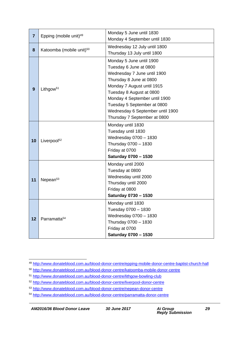| $\overline{7}$ | Epping (mobile unit) <sup>49</sup>   | Monday 5 June until 1830<br>Monday 4 September until 1830                                                                                                                                                                                                                                                  |
|----------------|--------------------------------------|------------------------------------------------------------------------------------------------------------------------------------------------------------------------------------------------------------------------------------------------------------------------------------------------------------|
| 8              | Katoomba (mobile unit) <sup>50</sup> | Wednesday 12 July until 1800<br>Thursday 13 July until 1800                                                                                                                                                                                                                                                |
| 9              | Lithgow <sup>51</sup>                | Monday 5 June until 1900<br>Tuesday 6 June at 0800<br>Wednesday 7 June until 1900<br>Thursday 8 June at 0800<br>Monday 7 August until 1915<br>Tuesday 8 August at 0800<br>Monday 4 September until 1900<br>Tuesday 5 September at 0800<br>Wednesday 6 September until 1900<br>Thursday 7 September at 0800 |
| 10             | Liverpool <sup>52</sup>              | Monday until 1830<br>Tuesday until 1830<br>Wednesday 0700 - 1830<br>Thursday 0700 - 1830<br>Friday at 0700<br>Saturday 0700 - 1530                                                                                                                                                                         |
| 11             | Nepean <sup>53</sup>                 | Monday until 2000<br>Tuesday at 0800<br>Wednesday until 2000<br>Thursday until 2000<br>Friday at 0800<br>Saturday 0730 - 1530                                                                                                                                                                              |
| 12             | Parramatta <sup>54</sup>             | Monday until 1830<br>Tuesday 0700 – 1830<br>Wednesday 0700 - 1830<br>Thursday 0700 - 1830<br>Friday at 0700<br>Saturday 0700 - 1530                                                                                                                                                                        |

*AM2016/36 Blood Donor Leave 30 June 2017 Ai Group*

<sup>1</sup> <sup>49</sup> <http://www.donateblood.com.au/blood-donor-centre/epping-mobile-donor-centre-baptist-church-hall>

<sup>50</sup> <http://www.donateblood.com.au/blood-donor-centre/katoomba-mobile-donor-centre>

<sup>51</sup> <http://www.donateblood.com.au/blood-donor-centre/lithgow-bowling-club>

<sup>52</sup> <http://www.donateblood.com.au/blood-donor-centre/liverpool-donor-centre>

<sup>53</sup> <http://www.donateblood.com.au/blood-donor-centre/nepean-donor-centre>

<sup>54</sup> <http://www.donateblood.com.au/blood-donor-centre/parramatta-donor-centre>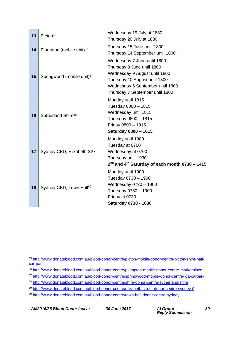| 13 | Picton <sup>55</sup>                   | Wednesday 19 July at 1830<br>Thursday 20 July at 1830                                                                                                                                              |
|----|----------------------------------------|----------------------------------------------------------------------------------------------------------------------------------------------------------------------------------------------------|
| 14 | Plumpton (mobile unit) <sup>56</sup>   | Thursday 15 June until 1800<br>Thursday 14 September until 1800                                                                                                                                    |
| 15 | Springwood (mobile unit) <sup>57</sup> | Wednesday 7 June until 1800<br>Thursday 8 June until 1800<br>Wednesday 9 August until 1800<br>Thursday 10 August until 1800<br>Wednesday 6 September until 1800<br>Thursday 7 September until 1800 |
| 16 | Sutherland Shire <sup>58</sup>         | Monday until 1815<br>Tuesday 0800 - 1815<br>Wednesday until 1815<br>Thursday 0800 - 1815<br>Friday 0800 - 1815<br><b>Saturday 0800 - 1615</b>                                                      |
| 17 | Sydney CBD, Elizabeth St <sup>59</sup> | Monday until 1900<br>Tuesday at 0700<br>Wednesday at 0700<br>Thursday until 1930<br>2 <sup>nd</sup> and 4 <sup>th</sup> Saturday of each month 0730 - 1415                                         |
| 18 | Sydney CBD, Town Hall <sup>60</sup>    | Monday until 1900<br>Tuesday 0730 - 1900<br>Wednesday 0730 - 1900<br>Thursday 0730 - 1900<br>Friday at 0730<br>Saturday 0730 - 1630                                                                |

*AM2016/36 Blood Donor Leave 30 June 2017 Ai Group*

<sup>1</sup> <sup>55</sup> [http://www.donateblood.com.au/blood-donor-centre/picton-mobile-donor-centre-picton-shire-hall](http://www.donateblood.com.au/blood-donor-centre/picton-mobile-donor-centre-picton-shire-hall-car-park)[car-park](http://www.donateblood.com.au/blood-donor-centre/picton-mobile-donor-centre-picton-shire-hall-car-park)

<sup>56</sup> <http://www.donateblood.com.au/blood-donor-centre/plumpton-mobile-donor-centre-marketplace>

<sup>57</sup> <http://www.donateblood.com.au/blood-donor-centre/springwood-mobile-donor-centre-iga-carpark>

<sup>58</sup> <http://www.donateblood.com.au/blood-donor-centre/shire-donor-centre-sutherland-shire>

<sup>59</sup> <http://www.donateblood.com.au/blood-donor-centre/elizabeth-street-donor-centre-sydney-0>

<sup>60</sup> <http://www.donateblood.com.au/blood-donor-centre/town-hall-donor-centre-sydney>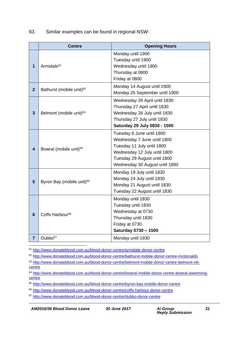93. Similar examples can be found in regional NSW:

|                | <b>Centre</b>                         | <b>Opening Hours</b>                                                                                                                                                                     |
|----------------|---------------------------------------|------------------------------------------------------------------------------------------------------------------------------------------------------------------------------------------|
| 1              | Armidale <sup>61</sup>                | Monday until 1900<br>Tuesday until 1900<br>Wednesday until 1900<br>Thursday at 0800<br>Friday at 0800                                                                                    |
| $\overline{2}$ | Bathurst (mobile unit) <sup>62</sup>  | Monday 14 August until 1900<br>Monday 25 September until 1900                                                                                                                            |
| 3              | Belmont (mobile unit) <sup>63</sup>   | Wednesday 26 April until 1830<br>Thursday 27 April until 1830<br>Wednesday 26 July until 1830<br>Thursday 27 July until 1830<br>Saturday 29 July 0830 - 1500                             |
| 4              | Bowral (mobile unit) <sup>64</sup>    | Tuesday 6 June until 1800<br>Wednesday 7 June until 1800<br>Tuesday 11 July until 1800<br>Wednesday 12 July until 1800<br>Tuesday 29 August until 1800<br>Wednesday 30 August until 1800 |
| $5\phantom{1}$ | Byron Bay (mobile unit) <sup>65</sup> | Monday 19 July until 1830<br>Monday 24 July until 1830<br>Monday 21 August until 1830<br>Tuesday 22 August until 1830                                                                    |
| $6\phantom{1}$ | Coffs Harbour <sup>66</sup>           | Monday until 1830<br>Tuesday until 1830<br>Wednesday at 0730<br>Thursday until 1830<br>Friday at 0730<br>Saturday 0730 - 1500                                                            |
| $\overline{7}$ | Dubbo <sup>67</sup>                   | Monday until 1930                                                                                                                                                                        |

1 <sup>61</sup> <http://www.donateblood.com.au/blood-donor-centre/armidale-donor-centre>

<sup>62</sup> <http://www.donateblood.com.au/blood-donor-centre/bathurst-mobile-donor-centre-mcdonalds>

<sup>63</sup> [http://www.donateblood.com.au/blood-donor-centre/belmont-mobile-donor-centre-belmont-citi](http://www.donateblood.com.au/blood-donor-centre/belmont-mobile-donor-centre-belmont-citi-centre)**[centre](http://www.donateblood.com.au/blood-donor-centre/belmont-mobile-donor-centre-belmont-citi-centre)** 

<sup>64</sup> [http://www.donateblood.com.au/blood-donor-centre/bowral-mobile-donor-centre-bowral-swimming](http://www.donateblood.com.au/blood-donor-centre/bowral-mobile-donor-centre-bowral-swimming-centre)**[centre](http://www.donateblood.com.au/blood-donor-centre/bowral-mobile-donor-centre-bowral-swimming-centre)** 

<sup>65</sup> <http://www.donateblood.com.au/blood-donor-centre/byron-bay-mobile-donor-centre>

<sup>66</sup> <http://www.donateblood.com.au/blood-donor-centre/coffs-harbour-donor-centre>

<sup>67</sup> <http://www.donateblood.com.au/blood-donor-centre/dubbo-donor-centre>

*AM2016/36 Blood Donor Leave 30 June 2017 Ai Group*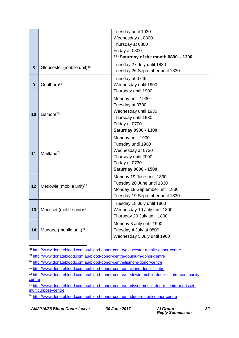|    |                                        | Tuesday until 1930                                |
|----|----------------------------------------|---------------------------------------------------|
|    |                                        | Wednesday at 0800                                 |
|    |                                        | Thursday at 0800                                  |
|    |                                        | Friday at 0800                                    |
|    |                                        | 1 <sup>st</sup> Saturday of the month 0800 - 1300 |
| 8  | Gloucester (mobile unit) <sup>68</sup> | Tuesday 27 July until 1830                        |
|    |                                        | Tuesday 26 September until 1830                   |
|    |                                        | Tuesday at 0745                                   |
| 9  | Goulburn <sup>69</sup>                 | Wednesday until 1900                              |
|    |                                        | Thursday until 1900                               |
|    |                                        | Monday until 1930                                 |
|    |                                        | Tuesday at 0700                                   |
| 10 | Lismore $70$                           | Wednesday until 1930                              |
|    |                                        | Thursday until 1930                               |
|    |                                        | Friday at 0700                                    |
|    |                                        | Saturday 0900 - 1300                              |
|    | Maitland <sup>71</sup>                 | Monday until 1900                                 |
|    |                                        | Tuesday until 1900                                |
| 11 |                                        | Wednesday at 0730                                 |
|    |                                        | Thursday until 2000                               |
|    |                                        | Friday at 0730                                    |
|    |                                        | Saturday 0800 - 1500                              |
|    |                                        | Monday 19 June until 1830                         |
| 12 | Medowie (mobile unit) <sup>72</sup>    | Tuesday 20 June until 1830                        |
|    |                                        | Monday 18 September until 1830                    |
|    |                                        | Tuesday 19 September until 1830                   |
|    |                                        | Tuesday 18 July until 1800                        |
| 13 | Morisset (mobile unit) <sup>73</sup>   | Wednesday 19 July until 1800                      |
|    |                                        | Thursday 20 July until 1800                       |
|    |                                        | Monday 3 July until 1900                          |
| 14 | Mudgee (mobile unit) <sup>74</sup>     | Tuesday 4 July at 0800                            |
|    |                                        | Wednesday 5 July until 1900                       |

1 <sup>68</sup> <http://www.donateblood.com.au/blood-donor-centre/gloucester-mobile-donor-centre>

<sup>69</sup> <http://www.donateblood.com.au/blood-donor-centre/goulburn-donor-centre>

<sup>70</sup> <http://www.donateblood.com.au/blood-donor-centre/lismore-donor-centre>

<sup>71</sup> <http://www.donateblood.com.au/blood-donor-centre/maitland-donor-centre>

<sup>72</sup> [http://www.donateblood.com.au/blood-donor-centre/medowie-mobile-donor-centre-community](http://www.donateblood.com.au/blood-donor-centre/medowie-mobile-donor-centre-community-centre)[centre](http://www.donateblood.com.au/blood-donor-centre/medowie-mobile-donor-centre-community-centre)

<sup>73</sup> [http://www.donateblood.com.au/blood-donor-centre/morisset-mobile-donor-centre-morisset](http://www.donateblood.com.au/blood-donor-centre/morisset-mobile-donor-centre-morisset-multipurpose-centre)[multipurpose-centre](http://www.donateblood.com.au/blood-donor-centre/morisset-mobile-donor-centre-morisset-multipurpose-centre)

<sup>74</sup> <http://www.donateblood.com.au/blood-donor-centre/mudgee-mobile-donor-centre>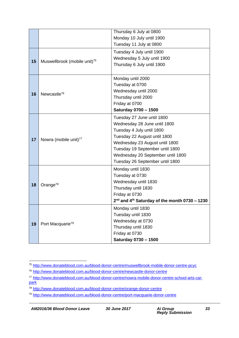|    |                                          | Thursday 6 July at 0800                                     |
|----|------------------------------------------|-------------------------------------------------------------|
|    |                                          | Monday 10 July until 1900                                   |
|    |                                          | Tuesday 11 July at 0800                                     |
|    |                                          | Tuesday 4 July until 1900                                   |
| 15 |                                          | Wednesday 5 July until 1900                                 |
|    | Muswellbrook (mobile unit) <sup>75</sup> | Thursday 6 July until 1900                                  |
|    |                                          |                                                             |
|    |                                          | Monday until 2000                                           |
|    |                                          | Tuesday at 0700                                             |
| 16 | Newcastle <sup>76</sup>                  | Wednesday until 2000                                        |
|    |                                          | Thursday until 2000                                         |
|    |                                          | Friday at 0700                                              |
|    |                                          | Saturday 0700 - 1500                                        |
|    |                                          | Tuesday 27 June until 1800                                  |
|    |                                          | Wednesday 28 June until 1800                                |
|    |                                          | Tuesday 4 July until 1800                                   |
| 17 | Nowra (mobile unit) <sup>77</sup>        | Tuesday 22 August until 1800                                |
|    |                                          | Wednesday 23 August until 1800                              |
|    |                                          | Tuesday 19 September until 1800                             |
|    |                                          | Wednesday 20 September until 1800                           |
|    |                                          | Tuesday 26 September until 1800                             |
|    |                                          | Monday until 1830                                           |
|    | Orange <sup>78</sup>                     | Tuesday at 0730                                             |
| 18 |                                          | Wednesday until 1830                                        |
|    |                                          | Thursday until 1830                                         |
|    |                                          | Friday at 0730                                              |
|    |                                          | $2nd$ and 4 <sup>th</sup> Saturday of the month 0730 - 1230 |
|    |                                          | Monday until 1830                                           |
|    |                                          | Tuesday until 1830                                          |
| 19 | Port Macquarie <sup>79</sup>             | Wednesday at 0730                                           |
|    |                                          | Thursday until 1830                                         |
|    |                                          | Friday at 0730                                              |
|    |                                          | Saturday 0730 - 1500                                        |

<sup>1</sup> <sup>75</sup> <http://www.donateblood.com.au/blood-donor-centre/muswellbrook-mobile-donor-centre-pcyc>

<sup>76</sup> <http://www.donateblood.com.au/blood-donor-centre/newcastle-donor-centre>

<sup>77</sup> [http://www.donateblood.com.au/blood-donor-centre/nowra-mobile-donor-centre-school-arts-car](http://www.donateblood.com.au/blood-donor-centre/nowra-mobile-donor-centre-school-arts-car-park)[park](http://www.donateblood.com.au/blood-donor-centre/nowra-mobile-donor-centre-school-arts-car-park)

<sup>78</sup> <http://www.donateblood.com.au/blood-donor-centre/orange-donor-centre>

<sup>79</sup> <http://www.donateblood.com.au/blood-donor-centre/port-macquarie-donor-centre>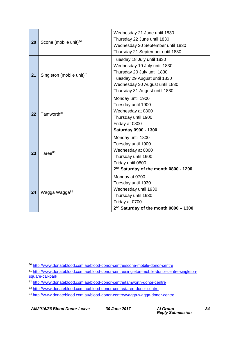| 20 | Scone (mobile unit) <sup>80</sup>     | Wednesday 21 June until 1830<br>Thursday 22 June until 1830<br>Wednesday 20 September until 1830<br>Thursday 21 September until 1830                                                         |
|----|---------------------------------------|----------------------------------------------------------------------------------------------------------------------------------------------------------------------------------------------|
| 21 | Singleton (mobile unit) <sup>81</sup> | Tuesday 18 July until 1830<br>Wednesday 19 July until 1830<br>Thursday 20 July until 1830<br>Tuesday 29 August until 1830<br>Wednesday 30 August until 1830<br>Thursday 31 August until 1830 |
| 22 | Tamworth <sup>82</sup>                | Monday until 1900<br>Tuesday until 1900<br>Wednesday at 0800<br>Thursday until 1900<br>Friday at 0800<br>Saturday 0900 - 1300                                                                |
| 23 | Taree <sup>83</sup>                   | Monday until 1800<br>Tuesday until 1900<br>Wednesday at 0800<br>Thursday until 1900<br>Friday until 0800<br>2 <sup>nd</sup> Saturday of the month 0800 - 1200                                |
| 24 | Wagga Wagga <sup>84</sup>             | Monday at 0700<br>Tuesday until 1930<br>Wednesday until 1930<br>Thursday until 1930<br>Friday at 0700<br>$2nd$ Saturday of the month 0800 - 1300                                             |

<sup>1</sup> <sup>80</sup> <http://www.donateblood.com.au/blood-donor-centre/scone-mobile-donor-centre>

<sup>81</sup> [http://www.donateblood.com.au/blood-donor-centre/singleton-mobile-donor-centre-singleton](http://www.donateblood.com.au/blood-donor-centre/singleton-mobile-donor-centre-singleton-square-car-park)[square-car-park](http://www.donateblood.com.au/blood-donor-centre/singleton-mobile-donor-centre-singleton-square-car-park)

<sup>82</sup> <http://www.donateblood.com.au/blood-donor-centre/tamworth-donor-centre>

<sup>83</sup> <http://www.donateblood.com.au/blood-donor-centre/taree-donor-centre>

<sup>84</sup> <http://www.donateblood.com.au/blood-donor-centre/wagga-wagga-donor-centre>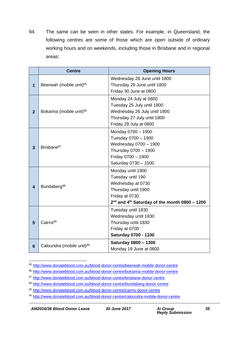94. The same can be seen in other states. For example, in Queensland, the following centres are some of those which are open outside of ordinary working hours and on weekends, including those in Brisbane and in regional areas:

|                         | <b>Centre</b>                         | <b>Opening Hours</b>                                                                                                                                                |
|-------------------------|---------------------------------------|---------------------------------------------------------------------------------------------------------------------------------------------------------------------|
| $\overline{\mathbf{1}}$ | Beerwah (mobile unit) <sup>85</sup>   | Wednesday 28 June until 1800<br>Thursday 29 June until 1800<br>Friday 30 June at 0800                                                                               |
| $\overline{2}$          | Bokarina (mobile unit) <sup>86</sup>  | Monday 24 July at 0800<br>Tuesday 25 July until 1800<br>Wednesday 26 July until 1800<br>Thursday 27 July until 1800<br>Friday 28 July at 0800                       |
| 3                       | Brisbane <sup>87</sup>                | Monday 0700 - 1900<br>Tuesday 0700 - 1900<br>Wednesday 0700 - 1900<br>Thursday 0700 - 1900<br>Friday 0700 - 1900<br>Saturday 0730 - 1500                            |
| $\overline{\mathbf{4}}$ | Bundaberg <sup>88</sup>               | Monday until 1900<br>Tuesday until 190<br>Wednesday at 0730<br>Thursday until 1900<br>Friday at 0730<br>$2nd$ and 4 <sup>th</sup> Saturday of the month 0800 - 1200 |
| 5                       | Cairns <sup>89</sup>                  | Tuesday until 1830<br>Wednesday until 1830<br>Thursday until 1830<br>Friday at 0700<br><b>Saturday 0700 - 1330</b>                                                  |
| 6                       | Caloundra (mobile unit) <sup>90</sup> | Saturday 0800 - 1300<br>Monday 19 June at 0800                                                                                                                      |

<sup>1</sup> <sup>85</sup> <http://www.donateblood.com.au/blood-donor-centre/beerwah-mobile-donor-centre>

<sup>86</sup> <http://www.donateblood.com.au/blood-donor-centre/bokarina-mobile-donor-centre>

<sup>87</sup> <http://www.donateblood.com.au/blood-donor-centre/brisbane-donor-centre>

<sup>88</sup> <http://www.donateblood.com.au/blood-donor-centre/bundaberg-donor-centre>

<sup>89</sup> <http://www.donateblood.com.au/blood-donor-centre/cairns-donor-centre>

<sup>90</sup> <http://www.donateblood.com.au/blood-donor-centre/caloundra-mobile-donor-centre>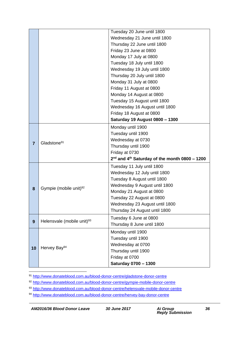|                |                                        | Tuesday 20 June until 1800                                  |
|----------------|----------------------------------------|-------------------------------------------------------------|
|                |                                        | Wednesday 21 June until 1800                                |
|                |                                        | Thursday 22 June until 1800                                 |
|                |                                        | Friday 23 June at 0800                                      |
|                |                                        | Monday 17 July at 0800                                      |
|                |                                        | Tuesday 18 July until 1800                                  |
|                |                                        | Wednesday 19 July until 1800                                |
|                |                                        | Thursday 20 July until 1800                                 |
|                |                                        | Monday 31 July at 0800                                      |
|                |                                        | Friday 11 August at 0800                                    |
|                |                                        | Monday 14 August at 0800                                    |
|                |                                        | Tuesday 15 August until 1800                                |
|                |                                        | Wednesday 16 August until 1800                              |
|                |                                        | Friday 18 August at 0800                                    |
|                |                                        | Saturday 19 August 0800 - 1300                              |
|                |                                        | Monday until 1900                                           |
|                |                                        | Tuesday until 1900                                          |
|                | Gladstone <sup>91</sup>                | Wednesday at 0730                                           |
| $\overline{7}$ |                                        | Thursday until 1900                                         |
|                |                                        | Friday at 0730                                              |
|                |                                        | $2nd$ and 4 <sup>th</sup> Saturday of the month 0800 - 1200 |
|                |                                        | Tuesday 11 July until 1800                                  |
|                |                                        | Wednesday 12 July until 1800                                |
|                |                                        | Tuesday 8 August until 1800                                 |
| 8              | Gympie (mobile unit) <sup>92</sup>     | Wednesday 9 August until 1800                               |
|                |                                        | Monday 21 August at 0800                                    |
|                |                                        | Tuesday 22 August at 0800                                   |
|                |                                        | Wednesday 23 August until 1800                              |
|                |                                        | Thursday 24 August until 1800                               |
|                | Helensvale (mobile unit) <sup>93</sup> | Tuesday 6 June at 0800                                      |
| 9              |                                        | Thursday 8 June until 1800                                  |
|                |                                        | Monday until 1900                                           |
|                |                                        | Tuesday until 1900                                          |
| 10             |                                        | Wednesday at 0700                                           |
|                | Hervey Bay <sup>94</sup>               | Thursday until 1900                                         |
|                |                                        | Friday at 0700                                              |
|                |                                        | Saturday 0700 - 1300                                        |

<sup>91</sup> <http://www.donateblood.com.au/blood-donor-centre/gladstone-donor-centre>

<sup>92</sup> <http://www.donateblood.com.au/blood-donor-centre/gympie-mobile-donor-centre>

<sup>93</sup> <http://www.donateblood.com.au/blood-donor-centre/helensvale-mobile-donor-centre>

<sup>94</sup> <http://www.donateblood.com.au/blood-donor-centre/hervey-bay-donor-centre>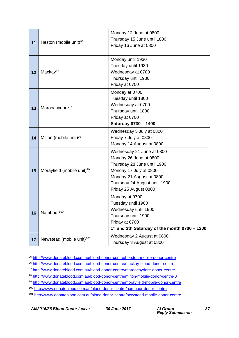| 11 | Heston (mobile unit) <sup>95</sup>     | Monday 12 June at 0800<br>Thursday 15 June until 1800 |  |
|----|----------------------------------------|-------------------------------------------------------|--|
|    |                                        | Friday 16 June at 0800                                |  |
|    | Mackay <sup>96</sup>                   | Monday until 1930<br>Tuesday until 1930               |  |
| 12 |                                        | Wednesday at 0700                                     |  |
|    |                                        | Thursday until 1930                                   |  |
|    |                                        | Friday at 0700                                        |  |
|    | Maroochydore <sup>97</sup>             | Monday at 0700                                        |  |
|    |                                        | Tuesday until 1800                                    |  |
| 13 |                                        | Wednesday at 0700                                     |  |
|    |                                        | Thursday until 1800                                   |  |
|    |                                        | Friday at 0700<br>Saturday 0730 - 1400                |  |
|    |                                        |                                                       |  |
|    | Milton (mobile unit) <sup>98</sup>     | Wednesday 5 July at 0800<br>Friday 7 July at 0800     |  |
| 14 |                                        | Monday 14 August at 0800                              |  |
|    | Morayfield (mobile unit) <sup>99</sup> | Wednesday 21 June at 0800                             |  |
|    |                                        | Monday 26 June at 0800                                |  |
|    |                                        | Thursday 28 June until 1900                           |  |
| 15 |                                        | Monday 17 July at 0800                                |  |
|    |                                        | Monday 21 August at 0800                              |  |
|    |                                        | Thursday 24 August until 1900                         |  |
|    |                                        | Friday 25 August 0800                                 |  |
|    | Nambour <sup>100</sup>                 | Monday at 0700                                        |  |
|    |                                        | Tuesday until 1900                                    |  |
| 16 |                                        | Wednesday until 1900                                  |  |
|    |                                        | Thursday until 1900                                   |  |
|    |                                        | Friday at 0700                                        |  |
|    |                                        | 1st and 3th Saturday of the month 0700 - 1300         |  |
| 17 | Newstead (mobile unit) <sup>101</sup>  | Wednesday 2 August at 0800                            |  |
|    |                                        | Thursday 3 August at 0800                             |  |

<sup>95</sup> <http://www.donateblood.com.au/blood-donor-centre/herston-mobile-donor-centre>

*AM2016/36 Blood Donor Leave 30 June 2017 Ai Group*

<u>.</u>

<sup>96</sup> <http://www.donateblood.com.au/blood-donor-centre/mackay-blood-donor-centre>

<sup>97</sup> <http://www.donateblood.com.au/blood-donor-centre/maroochydore-donor-centre>

<sup>98</sup> <http://www.donateblood.com.au/blood-donor-centre/milton-mobile-donor-centre-0>

<sup>99</sup> <http://www.donateblood.com.au/blood-donor-centre/morayfield-mobile-donor-centre>

<sup>100&</sup>lt;br>100 <http://www.donateblood.com.au/blood-donor-centre/nambour-donor-centre>

<sup>101</sup> <http://www.donateblood.com.au/blood-donor-centre/newstead-mobile-donor-centre>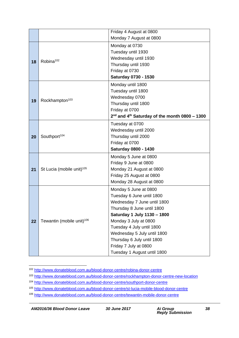|    | Friday 4 August at 0800               |                                                             |  |  |
|----|---------------------------------------|-------------------------------------------------------------|--|--|
|    | Monday 7 August at 0800               |                                                             |  |  |
|    | Robina <sup>102</sup>                 | Monday at 0730                                              |  |  |
|    |                                       | Tuesday until 1930                                          |  |  |
|    |                                       | Wednesday until 1930                                        |  |  |
| 18 |                                       | Thursday until 1930                                         |  |  |
|    |                                       | Friday at 0730                                              |  |  |
|    |                                       | Saturday 0730 - 1530                                        |  |  |
|    | Rockhampton <sup>103</sup>            | Monday until 1800                                           |  |  |
|    |                                       | Tuesday until 1800                                          |  |  |
| 19 |                                       | Wednesday 0700                                              |  |  |
|    |                                       | Thursday until 1800                                         |  |  |
|    |                                       | Friday at 0700                                              |  |  |
|    |                                       | $2nd$ and 4 <sup>th</sup> Saturday of the month 0800 - 1300 |  |  |
|    |                                       | Tuesday at 0700                                             |  |  |
|    | Southport <sup>104</sup>              | Wednesday until 2000                                        |  |  |
| 20 |                                       | Thursday until 2000                                         |  |  |
|    |                                       | Friday at 0700                                              |  |  |
|    |                                       | <b>Saturday 0800 - 1430</b>                                 |  |  |
|    | St Lucia (mobile unit) <sup>105</sup> | Monday 5 June at 0800                                       |  |  |
|    |                                       | Friday 9 June at 0800                                       |  |  |
| 21 |                                       | Monday 21 August at 0800                                    |  |  |
|    |                                       | Friday 25 August at 0800                                    |  |  |
|    |                                       | Monday 28 August at 0800                                    |  |  |
|    | Tewantin (mobile unit) <sup>106</sup> | Monday 5 June at 0800                                       |  |  |
|    |                                       | Tuesday 6 June until 1800                                   |  |  |
|    |                                       | Wednesday 7 June until 1800                                 |  |  |
|    |                                       | Thursday 8 June until 1800                                  |  |  |
|    |                                       | Saturday 1 July 1130 - 1800                                 |  |  |
| 22 |                                       | Monday 3 July at 0800                                       |  |  |
|    |                                       | Tuesday 4 July until 1800                                   |  |  |
|    |                                       | Wednesday 5 July until 1800                                 |  |  |
|    |                                       | Thursday 6 July until 1800                                  |  |  |
|    |                                       | Friday 7 July at 0800                                       |  |  |
|    |                                       | Tuesday 1 August until 1800                                 |  |  |

<sup>1</sup> <sup>102</sup> <http://www.donateblood.com.au/blood-donor-centre/robina-donor-centre>

<sup>103</sup> <http://www.donateblood.com.au/blood-donor-centre/rockhampton-donor-centre-new-location>

<sup>104</sup> <http://www.donateblood.com.au/blood-donor-centre/southport-donor-centre>

<sup>105</sup> <http://www.donateblood.com.au/blood-donor-centre/st-lucia-mobile-blood-donor-centre>

<sup>106</sup> <http://www.donateblood.com.au/blood-donor-centre/tewantin-mobile-donor-centre>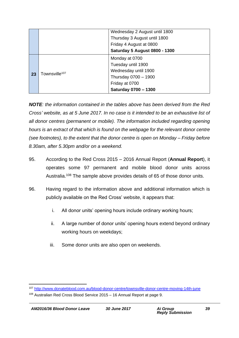|    | Wednesday 2 August until 1800 |                                      |  |
|----|-------------------------------|--------------------------------------|--|
|    |                               | Thursday 3 August until 1800         |  |
|    |                               | Friday 4 August at 0800              |  |
|    |                               | <b>Saturday 5 August 0800 - 1300</b> |  |
| 23 | Townsville <sup>107</sup>     | Monday at 0700                       |  |
|    |                               | Tuesday until 1900                   |  |
|    |                               | Wednesday until 1900                 |  |
|    |                               | Thursday 0700 - 1900                 |  |
|    |                               | Friday at 0700                       |  |
|    |                               | Saturday 0700 - 1300                 |  |

*NOTE: the information contained in the tables above has been derived from the Red Cross' website, as at 5 June 2017. In no case is it intended to be an exhaustive list of all donor centres (permanent or mobile). The information included regarding opening hours is an extract of that which is found on the webpage for the relevant donor centre (see footnotes), to the extent that the donor centre is open on Monday – Friday before 8.30am, after 5.30pm and/or on a weekend.*

- 95. According to the Red Cross 2015 2016 Annual Report (**Annual Report**), it operates some 97 permanent and mobile blood donor units across Australia.<sup>108</sup> The sample above provides details of 65 of those donor units.
- 96. Having regard to the information above and additional information which is publicly available on the Red Cross' website, it appears that:
	- i. All donor units' opening hours include ordinary working hours;
	- ii. A large number of donor units' opening hours extend beyond ordinary working hours on weekdays;
	- iii. Some donor units are also open on weekends.

<sup>107</sup> <http://www.donateblood.com.au/blood-donor-centre/townsville-donor-centre-moving-14th-june>

<sup>108</sup> Australian Red Cross Blood Service 2015 – 16 Annual Report at page 9.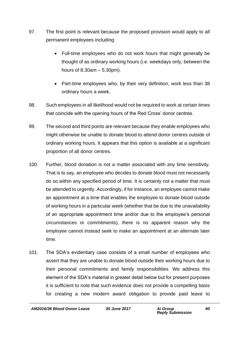- 97. The first point is relevant because the proposed provision would apply to all permanent employees including:
	- Full-time employees who do not work hours that might generally be thought of as ordinary working hours (i.e. weekdays only, between the hours of 8.30am – 5.30pm).
	- Part-time employees who, by their very definition, work less than 38 ordinary hours a week.
- 98. Such employees in all likelihood would not be required to work at certain times that coincide with the opening hours of the Red Cross' donor centres.
- 99. The second and third points are relevant because they enable employees who might otherwise be unable to donate blood to attend donor centres outside of ordinary working hours. It appears that this option is available at a significant proportion of all donor centres.
- 100. Further, blood donation is not a matter associated with any time sensitivity. That is to say, an employee who decides to donate blood must not necessarily do so within any specified period of time. It is certainly not a matter that must be attended to urgently. Accordingly, if for instance, an employee cannot make an appointment at a time that enables the employee to donate blood outside of working hours in a particular week (whether that be due to the unavailability of an appropriate appointment time and/or due to the employee's personal circumstances or commitments), there is no apparent reason why the employee cannot instead seek to make an appointment at an alternate later time.
- 101. The SDA's evidentiary case consists of a small number of employees who assert that they are unable to donate blood outside their working hours due to their personal commitments and family responsibilities. We address this element of the SDA's material in greater detail below but for present purposes it is sufficient to note that such evidence does not provide a compelling basis for creating a new modern award obligation to provide paid leave to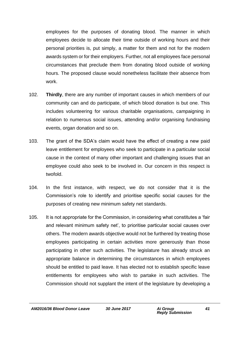employees for the purposes of donating blood. The manner in which employees decide to allocate their time outside of working hours and their personal priorities is, put simply, a matter for them and not for the modern awards system or for their employers. Further, not all employees face personal circumstances that preclude them from donating blood outside of working hours. The proposed clause would nonetheless facilitate their absence from work.

- 102. **Thirdly**, there are any number of important causes in which members of our community can and do participate, of which blood donation is but one. This includes volunteering for various charitable organisations, campaigning in relation to numerous social issues, attending and/or organising fundraising events, organ donation and so on.
- 103. The grant of the SDA's claim would have the effect of creating a new paid leave entitlement for employees who seek to participate in a particular social cause in the context of many other important and challenging issues that an employee could also seek to be involved in. Our concern in this respect is twofold.
- 104. In the first instance, with respect, we do not consider that it is the Commission's role to identify and prioritise specific social causes for the purposes of creating new minimum safety net standards.
- 105. It is not appropriate for the Commission, in considering what constitutes a 'fair and relevant minimum safety net', to prioritise particular social causes over others. The modern awards objective would not be furthered by treating those employees participating in certain activities more generously than those participating in other such activities. The legislature has already struck an appropriate balance in determining the circumstances in which employees should be entitled to paid leave. It has elected not to establish specific leave entitlements for employees who wish to partake in such activities. The Commission should not supplant the intent of the legislature by developing a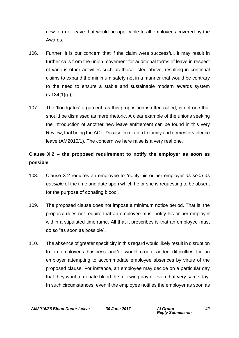new form of leave that would be applicable to all employees covered by the Awards.

- 106. Further, it is our concern that if the claim were successful, it may result in further calls from the union movement for additional forms of leave in respect of various other activities such as those listed above, resulting in continual claims to expand the minimum safety net in a manner that would be contrary to the need to ensure a stable and sustainable modern awards system  $(s.134(1)(q)).$
- 107. The 'floodgates' argument, as this proposition is often called, is not one that should be dismissed as mere rhetoric. A clear example of the unions seeking the introduction of another new leave entitlement can be found in this very Review; that being the ACTU's case in relation to family and domestic violence leave (AM2015/1). The concern we here raise is a very real one.

# **Clause X.2 – the proposed requirement to notify the employer as soon as possible**

- 108. Clause X.2 requires an employee to "notify his or her employer *as soon as possible* of the time and date upon which he or she is requesting to be absent for the purpose of donating blood".
- 109. The proposed clause does not impose a minimum notice period. That is, the proposal does not require that an employee must notify his or her employer within a stipulated timeframe. All that it prescribes is that an employee must do so "as soon as possible".
- 110. The absence of greater specificity in this regard would likely result in disruption to an employer's business and/or would create added difficulties for an employer attempting to accommodate employee absences by virtue of the proposed clause. For instance, an employee may decide on a particular day that they want to donate blood the following day or even that very same day. In such circumstances, even if the employee notifies the employer as soon as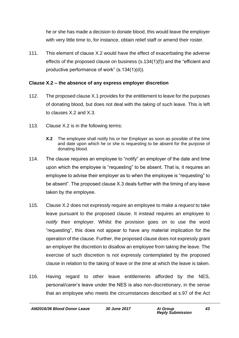he or she has made a decision to donate blood, this would leave the employer with very little time to, for instance, obtain relief staff or amend their roster.

111. This element of clause X.2 would have the effect of exacerbating the adverse effects of the proposed clause on business (s.134(1)(f)) and the "efficient and productive performance of work" (s.134(1)(d)).

#### **Clause X.2 – the absence of any express employer discretion**

- 112. The proposed clause X.1 provides for the entitlement to leave for the purposes of donating blood, but does not deal with the *taking* of such leave. This is left to clauses X.2 and X.3.
- 113. Clause X.2 is in the following terms:
	- **X.2** The employee shall notify his or her Employer as soon as possible of the time and date upon which he or she is requesting to be absent for the purpose of donating blood.
- 114. The clause requires an employee to "notify" an employer of the date and time upon which the employee is "requesting" to be absent. That is, it requires an employee to advise their employer as to when the employee is "requesting" to be absent". The proposed clause X.3 deals further with the timing of any leave taken by the employee.
- 115. Clause X.2 does not expressly require an employee to make a *request* to take leave pursuant to the proposed clause. It instead requires an employee to *notify* their employer. Whilst the provision goes on to use the word "requesting", this does not appear to have any material implication for the operation of the clause. Further, the proposed clause does not expressly grant an employer the discretion to disallow an employee from taking the leave. The exercise of such discretion is not expressly contemplated by the proposed clause in relation to the taking of leave or the *time* at which the leave is taken.
- 116. Having regard to other leave entitlements afforded by the NES, personal/carer's leave under the NES is also non-discretionary, in the sense that an employee who meets the circumstances described at s.97 of the Act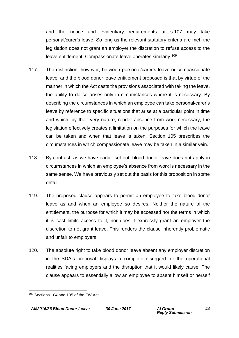and the notice and evidentiary requirements at s.107 may take personal/carer's leave. So long as the relevant statutory criteria are met, the legislation does not grant an employer the discretion to refuse access to the leave entitlement. Compassionate leave operates similarly.<sup>109</sup>

- 117. The distinction, however, between personal/carer's leave or compassionate leave, and the blood donor leave entitlement proposed is that by virtue of the manner in which the Act casts the provisions associated with taking the leave, the ability to do so arises only in circumstances where it is necessary. By describing the circumstances in which an employee can take personal/carer's leave by reference to specific situations that arise at a particular point in time and which, by their very nature, render absence from work necessary, the legislation effectively creates a limitation on the purposes for which the leave can be taken and when that leave is taken. Section 105 prescribes the circumstances in which compassionate leave may be taken in a similar vein.
- 118. By contrast, as we have earlier set out, blood donor leave does not apply in circumstances in which an employee's absence from work is necessary in the same sense. We have previously set out the basis for this proposition in some detail.
- 119. The proposed clause appears to permit an employee to take blood donor leave as and when an employee so desires. Neither the nature of the entitlement, the purpose for which it may be accessed nor the terms in which it is cast limits access to it, nor does it expressly grant an employer the discretion to not grant leave. This renders the clause inherently problematic and unfair to employers.
- 120. The absolute right to take blood donor leave absent any employer discretion in the SDA's proposal displays a complete disregard for the operational realities facing employers and the disruption that it would likely cause. The clause appears to essentially allow an employee to absent himself or herself

<sup>1</sup> <sup>109</sup> Sections 104 and 105 of the FW Act.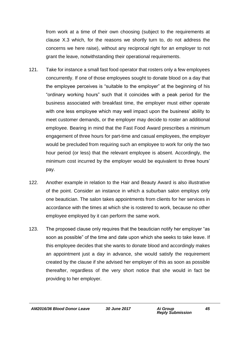from work at a time of their own choosing (subject to the requirements at clause X.3 which, for the reasons we shortly turn to, do not address the concerns we here raise), without any reciprocal right for an employer to not grant the leave, notwithstanding their operational requirements.

- 121. Take for instance a small fast food operator that rosters only a few employees concurrently. If one of those employees sought to donate blood on a day that the employee perceives is "suitable to the employer" at the beginning of his "ordinary working hours" such that it coincides with a peak period for the business associated with breakfast time, the employer must either operate with one less employee which may well impact upon the business' ability to meet customer demands, or the employer may decide to roster an additional employee. Bearing in mind that the Fast Food Award prescribes a minimum engagement of three hours for part-time and casual employees, the employer would be precluded from requiring such an employee to work for only the two hour period (or less) that the relevant employee is absent. Accordingly, the minimum cost incurred by the employer would be equivalent to three hours' pay.
- 122. Another example in relation to the Hair and Beauty Award is also illustrative of the point. Consider an instance in which a suburban salon employs only one beautician. The salon takes appointments from clients for her services in accordance with the times at which she is rostered to work, because no other employee employed by it can perform the same work.
- 123. The proposed clause only requires that the beautician notify her employer "as soon as possible" of the time and date upon which she seeks to take leave. If this employee decides that she wants to donate blood and accordingly makes an appointment just a day in advance, she would satisfy the requirement created by the clause if she advised her employer of this as soon as possible thereafter, regardless of the very short notice that she would in fact be providing to her employer.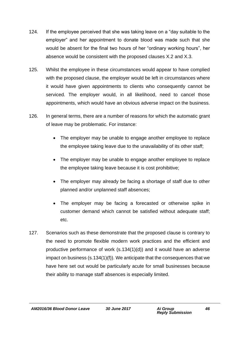- 124. If the employee perceived that she was taking leave on a "day suitable to the employer" and her appointment to donate blood was made such that she would be absent for the final two hours of her "ordinary working hours", her absence would be consistent with the proposed clauses X.2 and X.3.
- 125. Whilst the employee in these circumstances would appear to have complied with the proposed clause, the employer would be left in circumstances where it would have given appointments to clients who consequently cannot be serviced. The employer would, in all likelihood, need to cancel those appointments, which would have an obvious adverse impact on the business.
- 126. In general terms, there are a number of reasons for which the automatic grant of leave may be problematic. For instance:
	- The employer may be unable to engage another employee to replace the employee taking leave due to the unavailability of its other staff;
	- The employer may be unable to engage another employee to replace the employee taking leave because it is cost prohibitive;
	- The employer may already be facing a shortage of staff due to other planned and/or unplanned staff absences;
	- The employer may be facing a forecasted or otherwise spike in customer demand which cannot be satisfied without adequate staff; etc.
- 127. Scenarios such as these demonstrate that the proposed clause is contrary to the need to promote flexible modern work practices and the efficient and productive performance of work (s.134(1)(d)) and it would have an adverse impact on business (s.134(1)(f)). We anticipate that the consequences that we have here set out would be particularly acute for small businesses because their ability to manage staff absences is especially limited.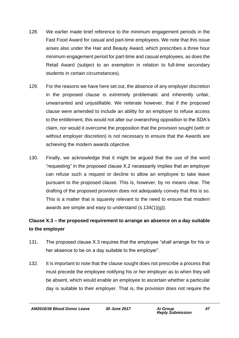- 128. We earlier made brief reference to the minimum engagement periods in the Fast Food Award for casual and part-time employees. We note that this issue arises also under the Hair and Beauty Award, which prescribes a three hour minimum engagement period for part-time and casual employees, as does the Retail Award (subject to an exemption in relation to full-time secondary students in certain circumstances).
- 129. For the reasons we have here set out, the absence of any employer discretion in the proposed clause is extremely problematic and inherently unfair, unwarranted and unjustifiable. We reiterate however, that if the proposed clause were amended to include an ability for an employer to refuse access to the entitlement, this would not alter our overarching opposition to the SDA's claim, nor would it overcome the proposition that the provision sought (with or without employer discretion) is not necessary to ensure that the Awards are achieving the modern awards objective.
- 130. Finally, we acknowledge that it might be argued that the use of the word "requesting" in the proposed clause X.2 necessarily implies that an employer can refuse such a request or decline to allow an employee to take leave pursuant to the proposed clause. This is, however, by no means clear. The drafting of the proposed provision does not adequately convey that this is so. This is a matter that is squarely relevant to the need to ensure that modern awards are simple and easy to understand (s.134(1)(g)).

## **Clause X.3 – the proposed requirement to arrange an absence on a day suitable to the employer**

- 131. The proposed clause X.3 requires that the employee "shall arrange for his or her absence to be on a day suitable to the employer".
- 132. It is important to note that the clause sought does not prescribe a process that must precede the employee notifying his or her employer as to when they will be absent, which would enable an employee to ascertain whether a particular day is suitable to their employer. That is, the provision does not require the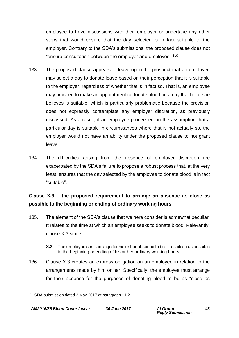employee to have discussions with their employer or undertake any other steps that would ensure that the day selected is in fact suitable to the employer. Contrary to the SDA's submissions, the proposed clause does not "ensure consultation between the employer and employee".<sup>110</sup>

- 133. The proposed clause appears to leave open the prospect that an employee may select a day to donate leave based on their perception that it is suitable to the employer, regardless of whether that is in fact so. That is, an employee may proceed to make an appointment to donate blood on a day that he or she believes is suitable, which is particularly problematic because the provision does not expressly contemplate any employer discretion, as previously discussed. As a result, if an employee proceeded on the assumption that a particular day is suitable in circumstances where that is not actually so, the employer would not have an ability under the proposed clause to not grant leave.
- 134. The difficulties arising from the absence of employer discretion are exacerbated by the SDA's failure to propose a robust process that, at the very least, ensures that the day selected by the employee to donate blood is in fact "suitable".

## **Clause X.3 – the proposed requirement to arrange an absence as close as possible to the beginning or ending of ordinary working hours**

- 135. The element of the SDA's clause that we here consider is somewhat peculiar. It relates to the time at which an employee seeks to donate blood. Relevantly, clause X.3 states:
	- **X.3** The employee shall arrange for his or her absence to be … as close as possible to the beginning or ending of his or her ordinary working hours.
- 136. Clause X.3 creates an express obligation on an employee in relation to the arrangements made by him or her. Specifically, the employee must arrange for their absence for the purposes of donating blood to be as "close as

<sup>1</sup> <sup>110</sup> SDA submission dated 2 May 2017 at paragraph 11.2.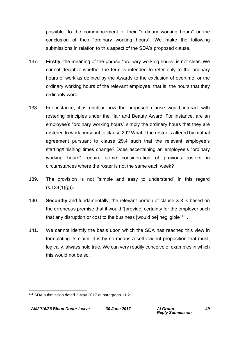possible" to the commencement of their "ordinary working hours" or the conclusion of their "ordinary working hours". We make the following submissions in relation to this aspect of the SDA's proposed clause.

- 137. **Firstly**, the meaning of the phrase "ordinary working hours" is not clear. We cannot decipher whether the term is intended to refer only to the ordinary hours of work as defined by the Awards to the exclusion of overtime; or the ordinary working hours of the relevant employee, that is, the hours that they ordinarily work.
- 138. For instance, it is unclear how the proposed clause would interact with rostering principles under the Hair and Beauty Award. For instance, are an employee's "ordinary working hours" simply the ordinary hours that they are rostered to work pursuant to clause 29? What if the roster is altered by mutual agreement pursuant to clause 29.4 such that the relevant employee's starting/finishing times change? Does ascertaining an employee's "ordinary working hours" require some consideration of previous rosters in circumstances where the roster is not the same each week?
- 139. The provision is not "simple and easy to understand" in this regard  $(s.134(1)(q)).$
- 140. **Secondly** and fundamentally, the relevant portion of clause X.3 is based on the erroneous premise that it would "[provide] certainty for the employer such that any disruption or cost to the business [would be] negligible" $^{\rm 111}.$
- 141. We cannot identify the basis upon which the SDA has reached this view in formulating its claim. It is by no means a self-evident proposition that must, logically, always hold true. We can very readily conceive of examples in which this would not be so.

<sup>1</sup> <sup>111</sup> SDA submission dated 2 May 2017 at paragraph 11.2.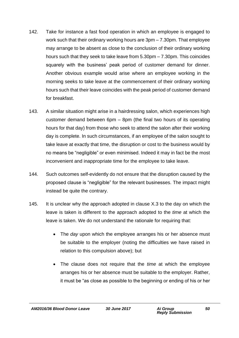- 142. Take for instance a fast food operation in which an employee is engaged to work such that their ordinary working hours are 3pm – 7.30pm. That employee may arrange to be absent as close to the conclusion of their ordinary working hours such that they seek to take leave from 5.30pm – 7.30pm. This coincides squarely with the business' peak period of customer demand for dinner. Another obvious example would arise where an employee working in the morning seeks to take leave at the commencement of their ordinary working hours such that their leave coincides with the peak period of customer demand for breakfast.
- 143. A similar situation might arise in a hairdressing salon, which experiences high customer demand between 6pm – 8pm (the final two hours of its operating hours for that day) from those who seek to attend the salon after their working day is complete. In such circumstances, if an employee of the salon sought to take leave at exactly that time, the disruption or cost to the business would by no means be "negligible" or even minimised. Indeed it may in fact be the most inconvenient and inappropriate time for the employee to take leave.
- 144. Such outcomes self-evidently do not ensure that the disruption caused by the proposed clause is "negligible" for the relevant businesses. The impact might instead be quite the contrary.
- 145. It is unclear why the approach adopted in clause X.3 to the day on which the leave is taken is different to the approach adopted to the *time* at which the leave is taken. We do not understand the rationale for requiring that:
	- The *day* upon which the employee arranges his or her absence must be suitable to the employer (noting the difficulties we have raised in relation to this compulsion above); but
	- The clause does not require that the *time* at which the employee arranges his or her absence must be suitable to the employer. Rather, it must be "as close as possible to the beginning or ending of his or her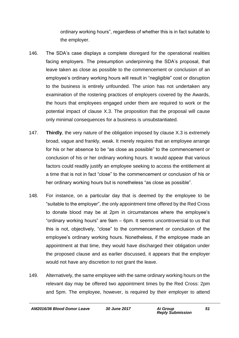ordinary working hours", regardless of whether this is in fact suitable to the employer.

- 146. The SDA's case displays a complete disregard for the operational realities facing employers. The presumption underpinning the SDA's proposal, that leave taken as close as possible to the commencement or conclusion of an employee's ordinary working hours will result in "negligible" cost or disruption to the business is entirely unfounded. The union has not undertaken any examination of the rostering practices of employers covered by the Awards, the hours that employees engaged under them are required to work or the potential impact of clause X.3. The proposition that the proposal will cause only minimal consequences for a business is unsubstantiated.
- 147. **Thirdly**, the very nature of the obligation imposed by clause X.3 is extremely broad, vague and frankly, weak. It merely requires that an employee arrange for his or her absence to be "as close as possible" to the commencement or conclusion of his or her ordinary working hours. It would appear that various factors could readily justify an employee seeking to access the entitlement at a time that is not in fact "close" to the commencement or conclusion of his or her ordinary working hours but is nonetheless "as close as possible".
- 148. For instance, on a particular day that is deemed by the employee to be "suitable to the employer", the only appointment time offered by the Red Cross to donate blood may be at 2pm in circumstances where the employee's "ordinary working hours" are 9am – 6pm. It seems uncontroversial to us that this is not, objectively, "close" to the commencement or conclusion of the employee's ordinary working hours. Nonetheless, if the employee made an appointment at that time, they would have discharged their obligation under the proposed clause and as earlier discussed, it appears that the employer would not have any discretion to not grant the leave.
- 149. Alternatively, the same employee with the same ordinary working hours on the relevant day may be offered two appointment times by the Red Cross: 2pm and 5pm. The employee, however, is required by their employer to attend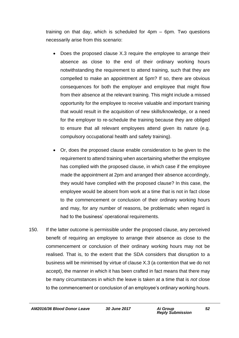training on that day, which is scheduled for 4pm – 6pm. Two questions necessarily arise from this scenario:

- Does the proposed clause X.3 require the employee to arrange their absence as close to the end of their ordinary working hours notwithstanding the requirement to attend training, such that they are compelled to make an appointment at 5pm? If so, there are obvious consequences for both the employer and employee that might flow from their absence at the relevant training. This might include a missed opportunity for the employee to receive valuable and important training that would result in the acquisition of new skills/knowledge, or a need for the employer to re-schedule the training because they are obliged to ensure that all relevant employees attend given its nature (e.g. compulsory occupational health and safety training).
- Or, does the proposed clause enable consideration to be given to the requirement to attend training when ascertaining whether the employee has complied with the proposed clause, in which case if the employee made the appointment at 2pm and arranged their absence accordingly, they would have complied with the proposed clause? In this case, the employee would be absent from work at a time that is not in fact close to the commencement or conclusion of their ordinary working hours and may, for any number of reasons, be problematic when regard is had to the business' operational requirements.
- 150. If the latter outcome is permissible under the proposed clause, any perceived benefit of requiring an employee to arrange their absence as close to the commencement or conclusion of their ordinary working hours may not be realised. That is, to the extent that the SDA considers that disruption to a business will be minimised by virtue of clause X.3 (a contention that we do not accept), the manner in which it has been crafted in fact means that there may be many circumstances in which the leave is taken at a time that is *not* close to the commencement or conclusion of an employee's ordinary working hours.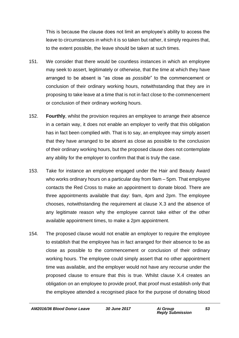This is because the clause does not limit an employee's ability to access the leave to circumstances in which it is so taken but rather, it simply requires that, to the extent possible, the leave should be taken at such times.

- 151. We consider that there would be countless instances in which an employee may seek to assert, legitimately or otherwise, that the time at which they have arranged to be absent is "as close as *possible*" to the commencement or conclusion of their ordinary working hours, notwithstanding that they are in proposing to take leave at a time that is not in fact close to the commencement or conclusion of their ordinary working hours.
- 152. **Fourthly**, whilst the provision requires an employee to arrange their absence in a certain way, it does not enable an employer to verify that this obligation has in fact been complied with. That is to say, an employee may simply assert that they have arranged to be absent as close as possible to the conclusion of their ordinary working hours, but the proposed clause does not contemplate any ability for the employer to confirm that that is truly the case.
- 153. Take for instance an employee engaged under the Hair and Beauty Award who works ordinary hours on a particular day from 9am – 5pm. That employee contacts the Red Cross to make an appointment to donate blood. There are three appointments available that day: 9am, 4pm and 2pm. The employee chooses, notwithstanding the requirement at clause X.3 and the absence of any legitimate reason why the employee cannot take either of the other available appointment times, to make a 2pm appointment.
- 154. The proposed clause would not enable an employer to require the employee to establish that the employee has in fact arranged for their absence to be as close as possible to the commencement or conclusion of their ordinary working hours. The employee could simply assert that no other appointment time was available, and the employer would not have any recourse under the proposed clause to ensure that this is true. Whilst clause X.4 creates an obligation on an employee to provide proof, that proof must establish only that the employee attended a recognised place for the purpose of donating blood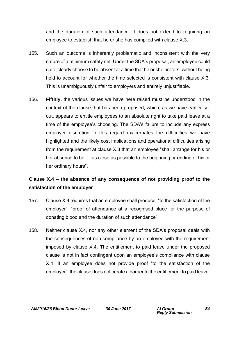and the duration of such attendance. It does not extend to requiring an employee to establish that he or she has complied with clause X.3.

- 155. Such an outcome is inherently problematic and inconsistent with the very nature of a minimum safety net. Under the SDA's proposal, an employee could quite clearly choose to be absent at a time that he or she prefers, without being held to account for whether the time selected is consistent with clause X.3. This is unambiguously unfair to employers and entirely unjustifiable.
- 156. **Fifthly,** the various issues we have here raised must be understood in the context of the clause that has been proposed, which, as we have earlier set out, appears to entitle employees to an absolute right to take paid leave at a time of the employee's choosing. The SDA's failure to include any express employer discretion in this regard exacerbates the difficulties we have highlighted and the likely cost implications and operational difficulties arising from the requirement at clause X.3 that an employee "shall arrange for his or her absence to be … as close as possible to the beginning or ending of his or her ordinary hours".

## **Clause X.4 – the absence of any consequence of not providing proof to the satisfaction of the employer**

- 157. Clause X.4 requires that an employee shall produce, "to the satisfaction of the employer", "proof of attendance at a recognised place for the purpose of donating blood and the duration of such attendance".
- 158. Neither clause X.4, nor any other element of the SDA's proposal deals with the consequences of non-compliance by an employee with the requirement imposed by clause X.4. The entitlement to paid leave under the proposed clause is not in fact contingent upon an employee's compliance with clause X.4. If an employee does not provide proof "to the satisfaction of the employer", the clause does not create a barrier to the entitlement to paid leave.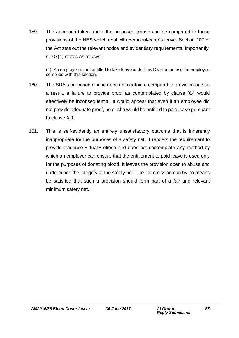159. The approach taken under the proposed clause can be compared to those provisions of the NES which deal with personal/carer's leave. Section 107 of the Act sets out the relevant notice and evidentiary requirements. Importantly, s.107(4) states as follows:

(4) An employee is not entitled to take leave under this Division unless the employee complies with this section.

- 160. The SDA's proposed clause does not contain a comparable provision and as a result, a failure to provide proof as contemplated by clause X.4 would effectively be inconsequential. It would appear that even if an employee did not provide adequate proof, he or she would be entitled to paid leave pursuant to clause X.1.
- 161. This is self-evidently an entirely unsatisfactory outcome that is inherently inappropriate for the purposes of a safety net. It renders the requirement to provide evidence virtually otiose and does not contemplate any method by which an employer can ensure that the entitlement to paid leave is used only for the purposes of donating blood. It leaves the provision open to abuse and undermines the integrity of the safety net. The Commission can by no means be satisfied that such a provision should form part of a *fair* and relevant minimum safety net.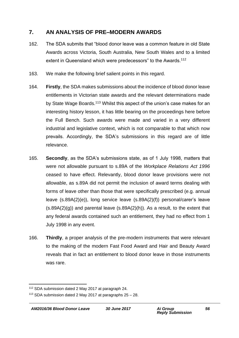### **7. AN ANALYSIS OF PRE–MODERN AWARDS**

- 162. The SDA submits that "blood donor leave was a common feature in old State Awards across Victoria, South Australia, New South Wales and to a limited extent in Queensland which were predecessors" to the Awards.<sup>112</sup>
- 163. We make the following brief salient points in this regard.
- 164. **Firstly**, the SDA makes submissions about the incidence of blood donor leave entitlements in Victorian state awards and the relevant determinations made by State Wage Boards.<sup>113</sup> Whilst this aspect of the union's case makes for an interesting history lesson, it has little bearing on the proceedings here before the Full Bench. Such awards were made and varied in a very different industrial and legislative context, which is not comparable to that which now prevails. Accordingly, the SDA's submissions in this regard are of little relevance.
- 165. **Secondly**, as the SDA's submissions state, as of 1 July 1998, matters that were not allowable pursuant to s.89A of the *Workplace Relations Act 1996* ceased to have effect. Relevantly, blood donor leave provisions were not allowable, as s.89A did not permit the inclusion of award terms dealing with forms of leave other than those that were specifically prescribed (e.g. annual leave (s.89A(2)(e)), long service leave (s.89A(2)(f)) personal/carer's leave  $(s.89A(2)(g))$  and parental leave  $(s.89A(2)(h))$ . As a result, to the extent that any federal awards contained such an entitlement, they had no effect from 1 July 1998 in any event.
- 166. **Thirdly**, a proper analysis of the pre-modern instruments that were relevant to the making of the modern Fast Food Award and Hair and Beauty Award reveals that in fact an entitlement to blood donor leave in those instruments was rare.

<sup>1</sup> <sup>112</sup> SDA submission dated 2 May 2017 at paragraph 24.

 $113$  SDA submission dated 2 May 2017 at paragraphs  $25 - 28$ .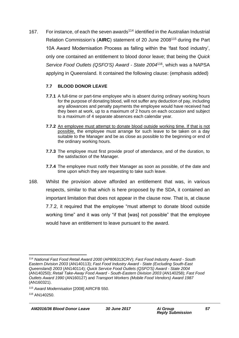167. For instance, of each the seven awards<sup>114</sup> identified in the Australian Industrial Relation Commission's (**AIRC**) statement of 20 June 2008<sup>115</sup> during the Part 10A Award Modernisation Process as falling within the 'fast food industry', only one contained an entitlement to blood donor leave; that being the *Quick Service Food Outlets (QSFO'S) Award - State 2004*<sup>116</sup> , which was a NAPSA applying in Queensland. It contained the following clause: (emphasis added)

#### **7.7 BLOOD DONOR LEAVE**

- **7.7.1** A full-time or part-time employee who is absent during ordinary working hours for the purpose of donating blood, will not suffer any deduction of pay, including any allowances and penalty payments the employee would have received had they been at work, up to a maximum of 2 hours on each occasion and subject to a maximum of 4 separate absences each calendar year.
- **7.7.2** An employee must attempt to donate blood outside working time. If that is not possible, the employee must arrange for such leave to be taken on a day suitable to the Manager and be as close as possible to the beginning or end of the ordinary working hours.
- **7.7.3** The employee must first provide proof of attendance, and of the duration, to the satisfaction of the Manager.
- **7.7.4** The employee must notify their Manager as soon as possible, of the date and time upon which they are requesting to take such leave.
- 168. Whilst the provision above afforded an entitlement that was, in various respects, similar to that which is here proposed by the SDA, it contained an important limitation that does not appear in the clause now. That is, at clause 7.7.2, it required that the employee "must attempt to donate blood outside working time" and it was only "if that [was] not possible" that the employee would have an entitlement to leave pursuant to the award.

<sup>1</sup> <sup>114</sup> *National Fast Food Retail Award 2000* (AP806313CRV); *Fast Food Industry Award - South Eastern Division 2003* (AN140113); *Fast Food Industry Award - State (Excluding South-East Queensland) 2003* (AN140114); *Quick Service Food Outlets (QSFO'S) Award - State 2004* (AN140250); *Retail Take-Away Food Award - South-Eastern Division 2003* (AN140258); *Fast Food Outlets Award 1990* (AN160127) and *Transport Workers (Mobile Food Vendors) Award 1987* (AN160321).

<sup>115</sup> *Award Modernisation* [2008] AIRCFB 550.

<sup>116</sup> AN140250.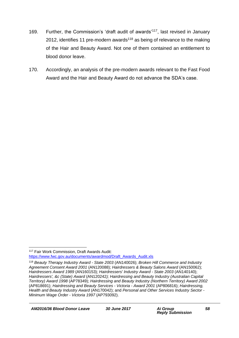- 169. Further, the Commission's 'draft audit of awards'<sup>117</sup>, last revised in January 2012, identifies 11 pre-modern awards<sup>118</sup> as being of relevance to the making of the Hair and Beauty Award. Not one of them contained an entitlement to blood donor leave.
- 170. Accordingly, an analysis of the pre-modern awards relevant to the Fast Food Award and the Hair and Beauty Award do not advance the SDA's case.

<sup>1</sup> <sup>117</sup> Fair Work Commission, Draft Awards Audit: [https://www.fwc.gov.au/documents/awardmod/Draft\\_Awards\\_Audit.xls](https://www.fwc.gov.au/documents/awardmod/Draft_Awards_Audit.xls)

<sup>118</sup> *Beauty Therapy Industry Award - State 2003* (AN140026); *Broken Hill Commerce and Industry Agreement Consent Award 2001* (AN120088); *Hairdressers & Beauty Salons Award* (AN150062); *Hairdressers Award 1989* (AN160153); *Hairdressers' Industry Award - State 2003* (AN140140); *Hairdressers', &c (State) Award* (AN120242*); Hairdressing and Beauty Industry (Australian Capital Territory) Award 1998* (AP78349); *Hairdressing and Beauty Industry (Northern Territory) Award 2002* (AP818691); *Hairdressing and Beauty Services - Victoria - Award 2001* (AP806816); *Hairdressing, Health and Beauty Industry Award* (AN170042); and *Personal and Other Services Industry Sector - Minimum Wage Order - Victoria 1997* (AP793092).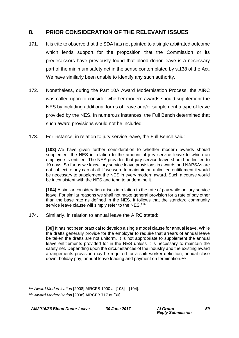### **8. PRIOR CONSIDERATION OF THE RELEVANT ISSUES**

- 171. It is trite to observe that the SDA has not pointed to a single arbitrated outcome which lends support for the proposition that the Commission or its predecessors have previously found that blood donor leave is a necessary part of the minimum safety net in the sense contemplated by s.138 of the Act. We have similarly been unable to identify any such authority.
- 172. Nonetheless, during the Part 10A Award Modernisation Process, the AIRC was called upon to consider whether modern awards should supplement the NES by including additional forms of leave and/or supplement a type of leave provided by the NES. In numerous instances, the Full Bench determined that such award provisions would not be included.
- 173. For instance, in relation to jury service leave, the Full Bench said:

**[103]** We have given further consideration to whether modern awards should supplement the NES in relation to the amount of jury service leave to which an employee is entitled. The NES provides that jury service leave should be limited to 10 days. So far as we know jury service leave provisions in awards and NAPSAs are not subject to any cap at all. If we were to maintain an unlimited entitlement it would be necessary to supplement the NES in every modern award. Such a course would be inconsistent with the NES and tend to undermine it.

**[104]** A similar consideration arises in relation to the rate of pay while on jury service leave. For similar reasons we shall not make general provision for a rate of pay other than the base rate as defined in the NES. It follows that the standard community service leave clause will simply refer to the NES.<sup>119</sup>

174. Similarly, in relation to annual leave the AIRC stated:

**[30]** It has not been practical to develop a single model clause for annual leave. While the drafts generally provide for the employer to require that arrears of annual leave be taken the drafts are not uniform. It is not appropriate to supplement the annual leave entitlements provided for in the NES unless it is necessary to maintain the safety net. Depending upon the circumstances of the industry and the existing award arrangements provision may be required for a shift worker definition, annual close down, holiday pay, annual leave loading and payment on termination.<sup>120</sup>

<sup>1</sup> <sup>119</sup> *Award Modernisation* [2008] AIRCFB 1000 at [103] – [104].

<sup>120</sup> *Award Modernisation* [2008] AIRCFB 717 at [30].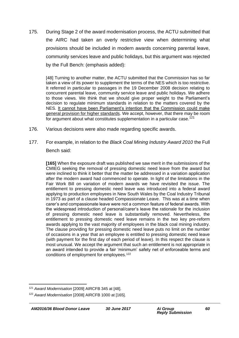175. During Stage 2 of the award modernisation process, the ACTU submitted that the AIRC had taken an overly restrictive view when determining what provisions should be included in modern awards concerning parental leave, community services leave and public holidays, but this argument was rejected by the Full Bench: (emphasis added):

[48] Turning to another matter, the ACTU submitted that the Commission has so far taken a view of its power to supplement the terms of the NES which is too restrictive. It referred in particular to passages in the 19 December 2008 decision relating to concurrent parental leave, community service leave and public holidays. We adhere to those views. We think that we should give proper weight to the Parliament's decision to regulate minimum standards in relation to the matters covered by the NES. It cannot have been Parliament's intention that the Commission could make general provision for higher standards. We accept, however, that there may be room for argument about what constitutes supplementation in a particular case.<sup>121</sup>

- 176. Various decisions were also made regarding specific awards.
- 177. For example, in relation to the *Black Coal Mining Industry Award 2010* the Full Bench said:

**[165]** When the exposure draft was published we saw merit in the submissions of the CMIEG seeking the removal of pressing domestic need leave from the award but were inclined to think it better that the matter be addressed in a variation application after the modern award had commenced to operate. In light of the limitations in the Fair Work Bill on variation of modern awards we have revisited the issue. The entitlement to pressing domestic need leave was introduced into a federal award applying to production employees in New South Wales by the Coal Industry Tribunal in 1973 as part of a clause headed Compassionate Leave. This was at a time when carer's and compassionate leave were not a common feature of federal awards. With the widespread introduction of personal/carer's leave the rationale for the inclusion of pressing domestic need leave is substantially removed. Nevertheless, the entitlement to pressing domestic need leave remains in the two key pre-reform awards applying to the vast majority of employees in the black coal mining industry. The clause providing for pressing domestic need leave puts no limit on the number of occasions in a year that an employee is entitled to pressing domestic need leave (with payment for the first day of each period of leave). In this respect the clause is most unusual. We accept the argument that such an entitlement is not appropriate in an award intended to provide a fair 'minimum' safety net of enforceable terms and conditions of employment for employees.<sup>122</sup>

<sup>1</sup> <sup>121</sup> *Award Modernisation* [2009] AIRCFB 345 at [48].

<sup>122</sup> *Award Modernisation* [2008] AIRCFB 1000 at [165].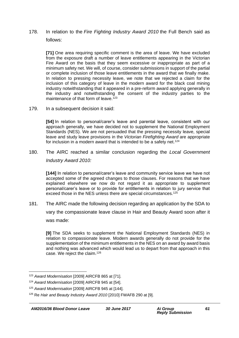178. In relation to the *Fire Fighting Industry Award 2010* the Full Bench said as follows:

**[71]** One area requiring specific comment is the area of leave. We have excluded from the exposure draft a number of leave entitlements appearing in the Victorian Fire Award on the basis that they seem excessive or inappropriate as part of a minimum safety net. We will, of course, consider submissions in support of the partial or complete inclusion of those leave entitlements in the award that we finally make. In relation to pressing necessity leave, we note that we rejected a claim for the inclusion of this category of leave in the modern award for the black coal mining industry notwithstanding that it appeared in a pre-reform award applying generally in the industry and notwithstanding the consent of the industry parties to the maintenance of that form of leave.<sup>123</sup>

179. In a subsequent decision it said:

**[54]** In relation to personal/carer's leave and parental leave, consistent with our approach generally, we have decided not to supplement the National Employment Standards (NES). We are not persuaded that the pressing necessity leave, special leave and study leave provisions in the *Victorian Firefighting Award* are appropriate for inclusion in a modern award that is intended to be a safety net.<sup>124</sup>

180. The AIRC reached a similar conclusion regarding the *Local Government Industry Award 2010:* 

**[144]** In relation to personal/carer's leave and community service leave we have not accepted some of the agreed changes to those clauses. For reasons that we have explained elsewhere we now do not regard it as appropriate to supplement personal/carer's leave or to provide for entitlements in relation to jury service that exceed those in the NES unless there are special circumstances.<sup>125</sup>

181. The AIRC made the following decision regarding an application by the SDA to

vary the compassionate leave clause in Hair and Beauty Award soon after it was made:

**[9]** The SDA seeks to supplement the National Employment Standards (NES) in relation to compassionate leave. Modern awards generally do not provide for the supplementation of the minimum entitlements in the NES on an award by award basis and nothing was advanced which would lead us to depart from that approach in this case. We reject the claim.<sup>126</sup>

<sup>123</sup> *Award Modernisation* [2009] AIRCFB 865 at [71].

<sup>124</sup> *Award Modernisation* [2009] AIRCFB 945 at [54].

<sup>125</sup> *Award Modernisation* [2009] AIRCFB 945 at [144].

<sup>126</sup> Re *Hair and Beauty Industry Award 2010* [2010] FWAFB 290 at [9].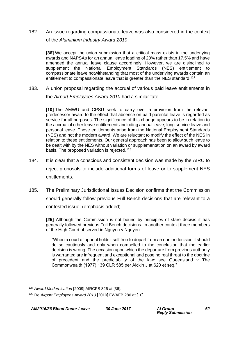182. An issue regarding compassionate leave was also considered in the context of the *Aluminium Industry Award 2010*:

**[36]** We accept the union submission that a critical mass exists in the underlying awards and NAPSAs for an annual leave loading of 20% rather than 17.5% and have amended the annual leave clause accordingly. However, we are disinclined to supplement the National Employment Standards (NES) entitlement to compassionate leave notwithstanding that most of the underlying awards contain an entitlement to compassionate leave that is greater than the NES standard.<sup>127</sup>

183. A union proposal regarding the accrual of various paid leave entitlements in the *Airport Employees Award 2010* had a similar fate:

**[10]** The AMWU and CPSU seek to carry over a provision from the relevant predecessor award to the effect that absence on paid parental leave is regarded as service for all purposes. The significance of this change appears to be in relation to the accrual of other leave entitlements including annual leave, long service leave and personal leave. These entitlements arise from the National Employment Standards (NES) and not the modern award. We are reluctant to modify the effect of the NES in relation to these entitlements. Our general approach has been to allow such leave to be dealt with by the NES without variation or supplementation on an award by award basis. The proposed variation is rejected.<sup>128</sup>

- 184. It is clear that a conscious and consistent decision was made by the AIRC to reject proposals to include additional forms of leave or to supplement NES entitlements.
- 185. The Preliminary Jurisdictional Issues Decision confirms that the Commission should generally follow previous Full Bench decisions that are relevant to a contested issue: (emphasis added)

**[25]** Although the Commission is not bound by principles of stare decisis it has generally followed previous Full Bench decisions. In another context three members of the High Court observed in Nguyen v Nguyen:

"When a court of appeal holds itself free to depart from an earlier decision it should do so cautiously and only when compelled to the conclusion that the earlier decision is wrong. The occasion upon which the departure from previous authority is warranted are infrequent and exceptional and pose no real threat to the doctrine of precedent and the predictability of the law: see Queensland v The Commonwealth (1977) 139 CLR 585 per Aickin J at 620 et seq."

<sup>1</sup> <sup>127</sup> *Award Modernisation* [2009] AIRCFB 826 at [36].

<sup>128</sup> Re *Airport Employees Award 2010* [2010] FWAFB 286 at [10].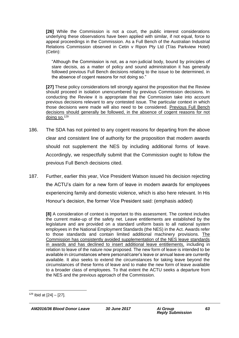**[26]** While the Commission is not a court, the public interest considerations underlying these observations have been applied with similar, if not equal, force to appeal proceedings in the Commission. As a Full Bench of the Australian Industrial Relations Commission observed in Cetin v Ripon Pty Ltd (T/as Parkview Hotel) (Cetin):

"Although the Commission is not, as a non-judicial body, bound by principles of stare decisis, as a matter of policy and sound administration it has generally followed previous Full Bench decisions relating to the issue to be determined, in the absence of cogent reasons for not doing so."

**[27]** These policy considerations tell strongly against the proposition that the Review should proceed in isolation unencumbered by previous Commission decisions. In conducting the Review it is appropriate that the Commission take into account previous decisions relevant to any contested issue. The particular context in which those decisions were made will also need to be considered. Previous Full Bench decisions should generally be followed, in the absence of cogent reasons for not doing so.<sup>129</sup>

- 186. The SDA has not pointed to any cogent reasons for departing from the above clear and consistent line of authority for the proposition that modern awards should not supplement the NES by including additional forms of leave. Accordingly, we respectfully submit that the Commission ought to follow the previous Full Bench decisions cited.
- 187. Further, earlier this year, Vice President Watson issued his decision rejecting the ACTU's claim for a new form of leave in modern awards for employees experiencing family and domestic violence, which is also here relevant. In His Honour's decision, the former Vice President said: (emphasis added)

**[8]** A consideration of context is important to this assessment. The context includes the current make-up of the safety net. Leave entitlements are established by the legislature and are provided on a standard uniform basis to all national system employees in the National Employment Standards (the NES) in the Act. Awards refer to those standards and contain limited additional machinery provisions. The Commission has consistently avoided supplementation of the NES leave standards in awards and has declined to insert additional leave entitlements, including in relation to leave of the nature now proposed. The new form of leave is intended to be available in circumstances where personal/carer's leave or annual leave are currently available. It also seeks to extend the circumstances for taking leave beyond the circumstances of these forms of leave and to make the new form of leave available to a broader class of employees. To that extent the ACTU seeks a departure from the NES and the previous approach of the Commission.

1

*AM2016/36 Blood Donor Leave 30 June 2017 Ai Group*

 $129$  Ibid at  $[24] - [27]$ .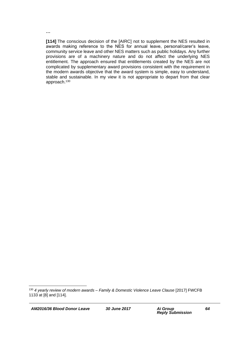**…**

**[114]** The conscious decision of the [AIRC] not to supplement the NES resulted in awards making reference to the NES for annual leave, personal/carer's leave, community service leave and other NES matters such as public holidays. Any further provisions are of a machinery nature and do not affect the underlying NES entitlement. The approach ensured that entitlements created by the NES are not complicated by supplementary award provisions consistent with the requirement in the modern awards objective that the award system is simple, easy to understand, stable and sustainable. In my view it is not appropriate to depart from that clear approach.<sup>130</sup>

<sup>130</sup> *4 yearly review of modern awards – Family & Domestic Violence Leave Clause* [2017] FWCFB 1133 at [8] and [114].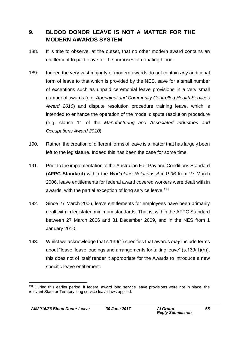## **9. BLOOD DONOR LEAVE IS NOT A MATTER FOR THE MODERN AWARDS SYSTEM**

- 188. It is trite to observe, at the outset, that no other modern award contains an entitlement to paid leave for the purposes of donating blood.
- 189. Indeed the very vast majority of modern awards do not contain *any* additional form of leave to that which is provided by the NES, save for a small number of exceptions such as unpaid ceremonial leave provisions in a very small number of awards (e.g. *Aboriginal and Community Controlled Health Services Award 2010*) and dispute resolution procedure training leave, which is intended to enhance the operation of the model dispute resolution procedure (e.g. clause 11 of the *Manufacturing and Associated Industries and Occupations Award 2010*).
- 190. Rather, the creation of different forms of leave is a matter that has largely been left to the legislature. Indeed this has been the case for some time.
- 191. Prior to the implementation of the Australian Fair Pay and Conditions Standard (**AFPC Standard**) within the *Workplace Relations Act 1996* from 27 March 2006, leave entitlements for federal award covered workers were dealt with in awards, with the partial exception of long service leave.<sup>131</sup>
- 192. Since 27 March 2006, leave entitlements for employees have been primarily dealt with in legislated minimum standards. That is, within the AFPC Standard between 27 March 2006 and 31 December 2009, and in the NES from 1 January 2010.
- 193. Whilst we acknowledge that s.139(1) specifies that awards *may* include terms about "leave, leave loadings and arrangements for taking leave" (s.139(1)(h)), this does not of itself render it appropriate for the Awards to introduce a new specific leave entitlement.

<sup>&</sup>lt;sup>131</sup> During this earlier period, if federal award long service leave provisions were not in place, the relevant State or Territory long service leave laws applied.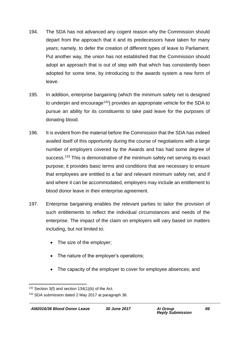- 194. The SDA has not advanced any cogent reason why the Commission should depart from the approach that it and its predecessors have taken for many years; namely, to defer the creation of different types of leave to Parliament. Put another way, the union has not established that the Commission should adopt an approach that is out of step with that which has consistently been adopted for some time, by introducing to the awards system a new form of leave.
- 195. In addition, enterprise bargaining (which the minimum safety net is designed to underpin and encourage<sup>132</sup>) provides an appropriate vehicle for the SDA to pursue an ability for its constituents to take paid leave for the purposes of donating blood.
- 196. It is evident from the material before the Commission that the SDA has indeed availed itself of this opportunity during the course of negotiations with a large number of employers covered by the Awards and has had some degree of success.<sup>133</sup> This is demonstrative of the minimum safety net serving its exact purpose; it provides basic terms and conditions that are necessary to ensure that employees are entitled to a fair and relevant minimum safety net, and if and where it can be accommodated, employers may include an entitlement to blood donor leave in their enterprise agreement.
- 197. Enterprise bargaining enables the relevant parties to tailor the provision of such entitlements to reflect the individual circumstances and needs of the enterprise. The impact of the claim on employers will vary based on matters including, but not limited to:
	- The size of the employer;
	- The nature of the employer's operations;
	- The capacity of the employer to cover for employee absences; and

<sup>1</sup>  $132$  Section 3(f) and section 134(1)(b) of the Act.

<sup>133</sup> SDA submission dated 2 May 2017 at paragraph 36.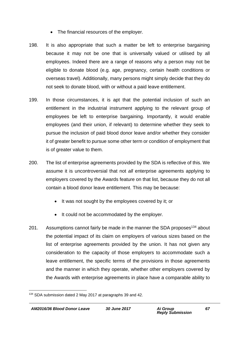- The financial resources of the employer.
- 198. It is also appropriate that such a matter be left to enterprise bargaining because it may not be one that is universally valued or utilised by all employees. Indeed there are a range of reasons why a person may not be eligible to donate blood (e.g. age, pregnancy, certain health conditions or overseas travel). Additionally, many persons might simply decide that they do not seek to donate blood, with or without a paid leave entitlement.
- 199. In those circumstances, it is apt that the potential inclusion of such an entitlement in the industrial instrument applying to the relevant group of employees be left to enterprise bargaining. Importantly, it would enable employees (and their union, if relevant) to determine whether they seek to pursue the inclusion of paid blood donor leave and/or whether they consider it of greater benefit to pursue some other term or condition of employment that is of greater value to them.
- 200. The list of enterprise agreements provided by the SDA is reflective of this. We assume it is uncontroversial that not *all* enterprise agreements applying to employers covered by the Awards feature on that list, because they do not all contain a blood donor leave entitlement. This may be because:
	- It was not sought by the employees covered by it; or
	- It could not be accommodated by the employer.
- 201. Assumptions cannot fairly be made in the manner the SDA proposes<sup>134</sup> about the potential impact of its claim on employers of various sizes based on the list of enterprise agreements provided by the union. It has not given any consideration to the capacity of those employers to accommodate such a leave entitlement, the specific terms of the provisions in those agreements and the manner in which they operate, whether other employers covered by the Awards with enterprise agreements in place have a comparable ability to

<sup>1</sup> <sup>134</sup> SDA submission dated 2 May 2017 at paragraphs 39 and 42.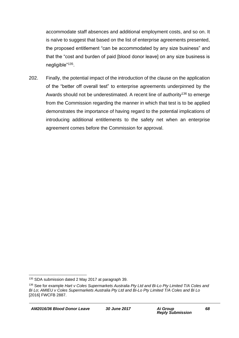accommodate staff absences and additional employment costs, and so on. It is naïve to suggest that based on the list of enterprise agreements presented, the proposed entitlement "can be accommodated by any size business" and that the "cost and burden of paid [blood donor leave] on any size business is negligible"<sup>135</sup>.

202. Finally, the potential impact of the introduction of the clause on the application of the "better off overall test" to enterprise agreements underpinned by the Awards should not be underestimated. A recent line of authority<sup>136</sup> to emerge from the Commission regarding the manner in which that test is to be applied demonstrates the importance of having regard to the potential implications of introducing additional entitlements to the safety net when an enterprise agreement comes before the Commission for approval.

<sup>1</sup> <sup>135</sup> SDA submission dated 2 May 2017 at paragraph 39.

<sup>136</sup> See for example *Hart v Coles Supermarkets Australia Pty Ltd and Bi-Lo Pty Limited T/A Coles and Bi Lo*; *AMIEU v Coles Supermarkets Australia Pty Ltd and Bi-Lo Pty Limited T/A Coles and Bi Lo* [2016] FWCFB 2887.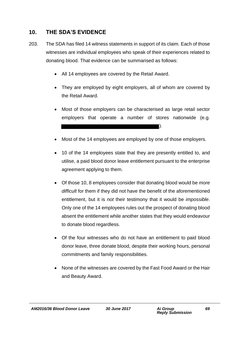## **10. THE SDA'S EVIDENCE**

- 203. The SDA has filed 14 witness statements in support of its claim. Each of those witnesses are individual employees who speak of their experiences related to donating blood. That evidence can be summarised as follows:
	- All 14 employees are covered by the Retail Award.
	- They are employed by eight employers, all of whom are covered by the Retail Award.
	- Most of those employers can be characterised as large retail sector employers that operate a number of stores nationwide (e.g. ).
	- Most of the 14 employees are employed by one of those employers.
	- 10 of the 14 employees state that they are presently entitled to, and utilise, a paid blood donor leave entitlement pursuant to the enterprise agreement applying to them.
	- Of those 10, 8 employees consider that donating blood would be *more difficult* for them if they did not have the benefit of the aforementioned entitlement, but it is *not* their testimony that it would be *impossible*. Only one of the 14 employees rules out the prospect of donating blood absent the entitlement while another states that they would endeavour to donate blood regardless.
	- Of the four witnesses who do not have an entitlement to paid blood donor leave, three donate blood, despite their working hours, personal commitments and family responsibilities.
	- None of the witnesses are covered by the Fast Food Award or the Hair and Beauty Award.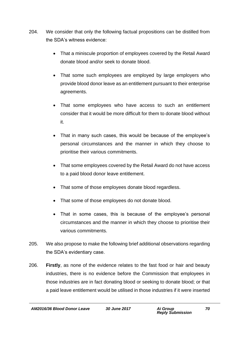- 204. We consider that only the following factual propositions can be distilled from the SDA's witness evidence:
	- That a miniscule proportion of employees covered by the Retail Award donate blood and/or seek to donate blood.
	- That some such employees are employed by large employers who provide blood donor leave as an entitlement pursuant to their enterprise agreements.
	- That some employees who have access to such an entitlement consider that it would be more difficult for them to donate blood without it.
	- That in many such cases, this would be because of the employee's personal circumstances and the manner in which they choose to prioritise their various commitments.
	- That some employees covered by the Retail Award do not have access to a paid blood donor leave entitlement.
	- That some of those employees donate blood regardless.
	- That some of those employees do not donate blood.
	- That in some cases, this is because of the employee's personal circumstances and the manner in which they choose to prioritise their various commitments.
- 205. We also propose to make the following brief additional observations regarding the SDA's evidentiary case.
- 206. **Firstly**, as none of the evidence relates to the fast food or hair and beauty industries, there is no evidence before the Commission that employees in those industries are in fact donating blood or seeking to donate blood; or that a paid leave entitlement would be utilised in those industries if it were inserted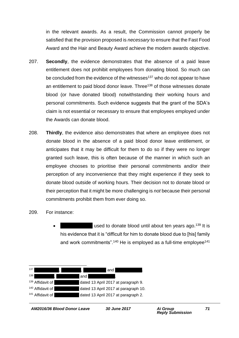in the relevant awards. As a result, the Commission cannot properly be satisfied that the provision proposed is *necessary* to ensure that the Fast Food Award and the Hair and Beauty Award achieve the modern awards objective.

- 207. **Secondly**, the evidence demonstrates that the absence of a paid leave entitlement does not prohibit employees from donating blood. So much can be concluded from the evidence of the witnesses $137$  who do not appear to have an entitlement to paid blood donor leave. Three<sup>138</sup> of those witnesses donate blood (or have donated blood) notwithstanding their working hours and personal commitments. Such evidence suggests that the grant of the SDA's claim is not essential or necessary to ensure that employees employed under the Awards can donate blood.
- 208. **Thirdly**, the evidence also demonstrates that where an employee does not donate blood in the absence of a paid blood donor leave entitlement, or anticipates that it may be difficult for them to do so if they were no longer granted such leave, this is often because of the manner in which such an employee chooses to prioritise their personal commitments and/or their perception of any inconvenience that they might experience if they seek to donate blood outside of working hours. Their decision not to donate blood or their perception that it might be more challenging is *not* because their personal commitments prohibit them from ever doing so.
- 209. For instance:
	- used to donate blood until about ten years ago.<sup>139</sup> It is his evidence that it is "difficult for him to donate blood due to [his] family and work commitments".<sup>140</sup> He is employed as a full-time employee<sup>141</sup>

| 137                         |     | and                                  |
|-----------------------------|-----|--------------------------------------|
| 138                         | and |                                      |
| <sup>139</sup> Affidavit of |     | dated 13 April 2017 at paragraph 9.  |
| <sup>140</sup> Affidavit of |     | dated 13 April 2017 at paragraph 10. |
| <sup>141</sup> Affidavit of |     | dated 13 April 2017 at paragraph 2.  |
|                             |     |                                      |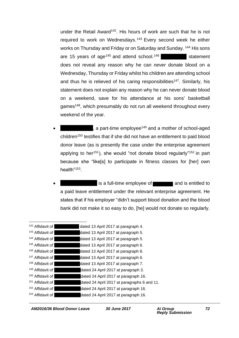under the Retail Award<sup>142</sup>. His hours of work are such that he is not required to work on Wednesdays.<sup>143</sup> Every second week he either works on Thursday and Friday or on Saturday and Sunday. <sup>144</sup> His sons are 15 years of age<sup>145</sup> and attend school.<sup>146</sup>  $\blacksquare$  statement does not reveal any reason why he can *never* donate blood on a Wednesday, Thursday or Friday whilst his children are attending school and thus he is relieved of his caring responsibilities<sup>147</sup>. Similarly, his statement does not explain any reason why he can never donate blood on a weekend, save for his attendance at his sons' basketball games<sup>148</sup>, which presumably do not run all weekend throughout every weekend of the year.

- , a part-time employee<sup>149</sup> and a mother of school-aged children<sup>150</sup> testifies that if she did not have an entitlement to paid blood donor leave (as is presently the case under the enterprise agreement applying to her<sup>151</sup>), she would "not donate blood regularly"<sup>152</sup> in part because she "like[s] to participate in fitness classes for [her] own health"<sup>153</sup>.
- **Alternative is a full-time employee of and is entitled to** a paid leave entitlement under the relevant enterprise agreement. He states that if his employer "didn't support blood donation and the blood bank did not make it so easy to do, [he] would not donate so regularly.

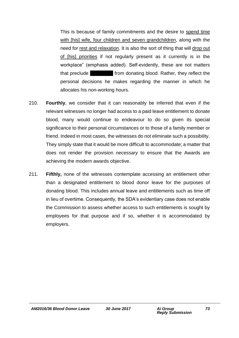This is because of family commitments and the desire to spend time with [his] wife, four children and seven grandchildren, along with the need for rest and relaxation. It is also the sort of thing that will drop out of [his] priorities if not regularly present as it currently is in the workplace" (emphasis added). Self-evidently, these are not matters that preclude **Mr Arristor from donating blood. Rather, they reflect the** personal decisions he makes regarding the manner in which he allocates his non-working hours.

- 210. **Fourthly**, we consider that it can reasonably be inferred that even if the relevant witnesses no longer had access to a paid leave entitlement to donate blood, many would continue to endeavour to do so given its special significance to their personal circumstances or to those of a family member or friend. Indeed in most cases, the witnesses do not eliminate such a possibility. They simply state that it would be more difficult to accommodate; a matter that does not render the provision *necessary* to ensure that the Awards are achieving the modern awards objective.
- 211. **Fifthly,** none of the witnesses contemplate accessing an entitlement other than a designated entitlement to blood donor leave for the purposes of donating blood. This includes annual leave and entitlements such as time off in lieu of overtime. Consequently, the SDA's evidentiary case does not enable the Commission to assess whether access to such entitlements is sought by employees for that purpose and if so, whether it is accommodated by employers.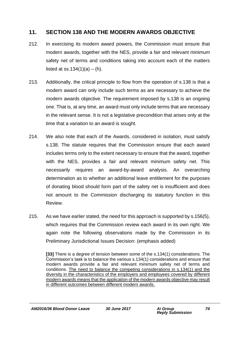### **11. SECTION 138 AND THE MODERN AWARDS OBJECTIVE**

- 212. In exercising its modern award powers, the Commission must ensure that modern awards, together with the NES, provide a fair and relevant minimum safety net of terms and conditions taking into account each of the matters listed at ss.134 $(1)(a) - (h)$ .
- 213. Additionally, the critical principle to flow from the operation of s.138 is that a modern award can only include such terms as are necessary to achieve the modern awards objective. The requirement imposed by s.138 is an ongoing one. That is, at any time, an award must only include terms that are necessary in the relevant sense. It is not a legislative precondition that arises only at the time that a variation to an award is sought.
- 214. We also note that each of the Awards, considered in isolation, must satisfy s.138. The statute requires that the Commission ensure that each award includes terms only to the extent necessary to ensure that the award, together with the NES, provides a fair and relevant minimum safety net. This necessarily requires an award-by-award analysis. An overarching determination as to whether an additional leave entitlement for the purposes of donating blood should form part of the safety net is insufficient and does not amount to the Commission discharging its statutory function in this Review.
- 215. As we have earlier stated, the need for this approach is supported by s.156(5), which requires that the Commission review each award in its own right. We again note the following observations made by the Commission in its Preliminary Jurisdictional Issues Decision: (emphasis added)

**[33]** There is a degree of tension between some of the s.134(1) considerations. The Commission's task is to balance the various s.134(1) considerations and ensure that modern awards provide a fair and relevant minimum safety net of terms and conditions. The need to balance the competing considerations in s.134(1) and the diversity in the characteristics of the employers and employees covered by different modern awards means that the application of the modern awards objective may result in different outcomes between different modern awards.

*AM2016/36 Blood Donor Leave 30 June 2017 Ai Group*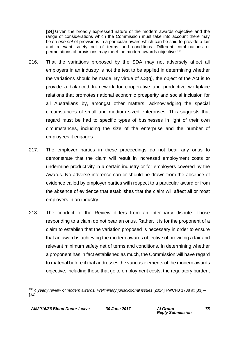**[34]** Given the broadly expressed nature of the modern awards objective and the range of considerations which the Commission must take into account there may be *no one set* of provisions in a particular award which can be said to provide a fair and relevant safety net of terms and conditions. Different combinations or permutations of provisions may meet the modern awards objective.<sup>154</sup>

- 216. That the variations proposed by the SDA may not adversely affect all employers in an industry is not the test to be applied in determining whether the variations should be made. By virtue of s.3(g), the object of the Act is to provide a balanced framework for cooperative and productive workplace relations that promotes national economic prosperity and social inclusion for all Australians by, amongst other matters, acknowledging the special circumstances of small and medium sized enterprises. This suggests that regard must be had to specific types of businesses in light of their own circumstances, including the size of the enterprise and the number of employees it engages.
- 217. The employer parties in these proceedings do not bear any onus to demonstrate that the claim will result in increased employment costs or undermine productivity in a certain industry or for employers covered by the Awards. No adverse inference can or should be drawn from the absence of evidence called by employer parties with respect to a particular award or from the absence of evidence that establishes that the claim will affect all or most employers in an industry.
- 218. The conduct of the Review differs from an inter-party dispute. Those responding to a claim do not bear an onus. Rather, it is for the proponent of a claim to establish that the variation proposed is necessary in order to ensure that an award is achieving the modern awards objective of providing a fair and relevant minimum safety net of terms and conditions. In determining whether a proponent has in fact established as much, the Commission will have regard to material before it that addresses the various elements of the modern awards objective, including those that go to employment costs, the regulatory burden,

<sup>1</sup> <sup>154</sup> *4 yearly review of modern awards: Preliminary jurisdictional issues* [2014] FWCFB 1788 at [33] – [34].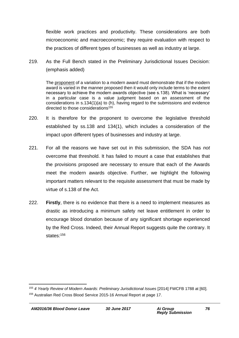flexible work practices and productivity. These considerations are both microeconomic and macroeconomic; they require evaluation with respect to the practices of different types of businesses as well as industry at large.

219. As the Full Bench stated in the Preliminary Jurisdictional Issues Decision: (emphasis added)

The proponent of a variation to a modern award must demonstrate that if the modern award is varied in the manner proposed then it would only include terms to the extent necessary to achieve the modern awards objective (see s.138). What is 'necessary' in a particular case is a value judgment based on an assessment of the considerations in s.134(1)(a) to (h), having regard to the submissions and evidence directed to those considerations<sup>155</sup>

- 220. It is therefore for the proponent to overcome the legislative threshold established by ss.138 and 134(1), which includes a consideration of the impact upon different types of businesses and industry at large.
- 221. For all the reasons we have set out in this submission, the SDA has *not* overcome that threshold. It has failed to mount a case that establishes that the provisions proposed are necessary to ensure that each of the Awards meet the modern awards objective. Further, we highlight the following important matters relevant to the requisite assessment that must be made by virtue of s.138 of the Act.
- 222. **Firstly**, there is no evidence that there is a need to implement measures as drastic as introducing a minimum safety net leave entitlement in order to encourage blood donation because of any significant shortage experienced by the Red Cross. Indeed, their Annual Report suggests quite the contrary. It states:<sup>156</sup>

1

<sup>155</sup> *4 Yearly Review of Modern Awards: Preliminary Jurisdictional Issues* [2014] FWCFB 1788 at [60]. <sup>156</sup> Australian Red Cross Blood Service 2015-16 Annual Report at page 17.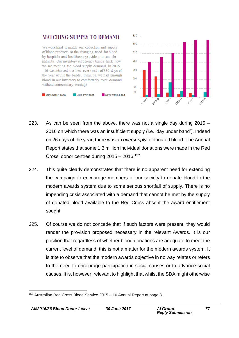



- 223. As can be seen from the above, there was not a single day during 2015 2016 on which there was an insufficient supply (i.e. 'day under band'). Indeed on 26 days of the year, there was an *oversupply* of donated blood. The Annual Report states that some 1.3 million individual donations were made in the Red Cross' donor centres during  $2015 - 2016$ .<sup>157</sup>
- 224. This quite clearly demonstrates that there is no apparent need for extending the campaign to encourage members of our society to donate blood to the modern awards system due to some serious shortfall of supply. There is no impending crisis associated with a demand that cannot be met by the supply of donated blood available to the Red Cross absent the award entitlement sought.
- 225. Of course we do not concede that if such factors were present, they would render the provision proposed necessary in the relevant Awards. It is our position that regardless of whether blood donations are adequate to meet the current level of demand, this is not a matter for the modern awards system. It is trite to observe that the modern awards objective in no way relates or refers to the need to encourage participation in social causes or to advance social causes. It is, however, relevant to highlight that whilst the SDA might otherwise

<sup>1</sup> <sup>157</sup> Australian Red Cross Blood Service 2015 – 16 Annual Report at page 8.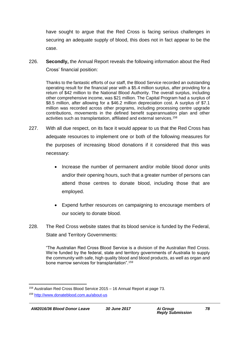have sought to argue that the Red Cross is facing serious challenges in securing an adequate supply of blood, this does not in fact appear to be the case.

226. **Secondly,** the Annual Report reveals the following information about the Red Cross' financial position:

Thanks to the fantastic efforts of our staff, the Blood Service recorded an outstanding operating result for the financial year with a \$5.4 million surplus, after providing for a return of \$42 million to the National Blood Authority. The overall surplus, including other comprehensive income, was \$21 million. The Capital Program had a surplus of \$8.5 million, after allowing for a \$46.2 million depreciation cost. A surplus of \$7.1 million was recorded across other programs, including processing centre upgrade contributions, movements in the defined benefit superannuation plan and other activities such as transplantation, affiliated and external services.<sup>158</sup>

- 227. With all due respect, on its face it would appear to us that the Red Cross has adequate resources to implement one or both of the following measures for the purposes of increasing blood donations if it considered that this was necessary:
	- Increase the number of permanent and/or mobile blood donor units and/or their opening hours, such that a greater number of persons can attend those centres to donate blood, including those that are employed.
	- Expend further resources on campaigning to encourage members of our society to donate blood.
- 228. The Red Cross website states that its blood service is funded by the Federal, State and Territory Governments:

"The Australian Red Cross Blood Service is a division of the Australian Red Cross. We're funded by the federal, state and territory governments of Australia to supply the community with safe, high quality blood and blood products, as well as organ and bone marrow services for transplantation".<sup>159</sup>

<sup>1</sup> <sup>158</sup> Australian Red Cross Blood Service 2015 – 16 Annual Report at page 73.

<sup>159</sup> <http://www.donateblood.com.au/about-us>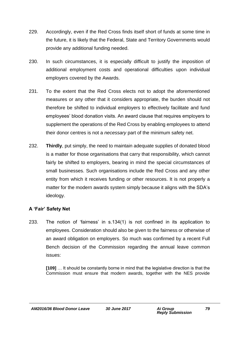- 229. Accordingly, even if the Red Cross finds itself short of funds at some time in the future, it is likely that the Federal, State and Territory Governments would provide any additional funding needed.
- 230. In such circumstances, it is especially difficult to justify the imposition of additional employment costs and operational difficulties upon individual employers covered by the Awards.
- 231. To the extent that the Red Cross elects not to adopt the aforementioned measures or any other that it considers appropriate, the burden should not therefore be shifted to individual employers to effectively facilitate and fund employees' blood donation visits. An award clause that requires employers to supplement the operations of the Red Cross by enabling employees to attend their donor centres is not a *necessary* part of the minimum safety net.
- 232. **Thirdly**, put simply, the need to maintain adequate supplies of donated blood is a matter for those organisations that carry that responsibility, which cannot fairly be shifted to employers, bearing in mind the special circumstances of small businesses. Such organisations include the Red Cross and any other entity from which it receives funding or other resources. It is not properly a matter for the modern awards system simply because it aligns with the SDA's ideology.

#### **A 'Fair' Safety Net**

233. The notion of 'fairness' in s.134(1) is not confined in its application to employees. Consideration should also be given to the fairness or otherwise of an award obligation on employers. So much was confirmed by a recent Full Bench decision of the Commission regarding the annual leave common issues:

**[109]** … It should be constantly borne in mind that the legislative direction is that the Commission must ensure that modern awards, together with the NES provide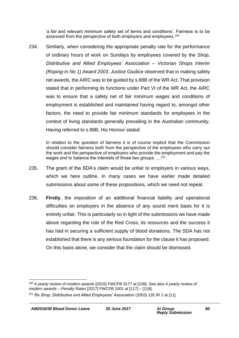'a *fair* and relevant minimum safety set of terms and conditions'. Fairness is to be assessed from the perspective of both employers and employees.<sup>160</sup>

234. Similarly, when considering the appropriate penalty rate for the performance of ordinary hours of work on Sundays by employees covered by the *Shop, Distributive and Allied Employees' Association – Victorian Shops Interim (Roping-in No 1) Award 2003*, Justice Giudice observed that in making safety net awards, the AIRC was to be guided by s.88B of the WR Act. That provision stated that in performing its functions under Part VI of the WR Act, the AIRC was to ensure that a safety net of fair minimum wages and conditions of employment is established and maintained having regard to, amongst other factors, the need to provide fair minimum standards for employees in the context of living standards generally prevailing in the Australian community. Having referred to s.88B, His Honour stated:

In relation to the question of fairness it is of course implicit that the Commission should consider fairness both from the perspective of the employees who carry out the work and the perspective of employers who provide the employment and pay the wages and to balance the interests of those two groups. ...<sup>161</sup>

- 235. The grant of the SDA's claim would be unfair to employers in various ways, which we here outline. In many cases we have earlier made detailed submissions about some of these propositions, which we need not repeat.
- 236. **Firstly**, the imposition of an additional financial liability and operational difficulties on employers in the absence of any sound merit basis for it is entirely unfair. This is particularly so in light of the submissions we have made above regarding the role of the Red Cross, its resources and the success it has had in securing a sufficient supply of blood donations. The SDA has not established that there is any serious foundation for the clause it has proposed. On this basis alone, we consider that the claim should be dismissed.

<sup>1</sup> <sup>160</sup> *4 yearly review of modern awards* [2015] FWCFB 3177 at [109]. See also *4 yearly review of modern awards – Penalty Rates* [2017] FWCFB 1001 at [117] – [118].

<sup>161</sup> *Re Shop, Distributive and Allied Employees' Association* (2003) 135 IR 1 at [11].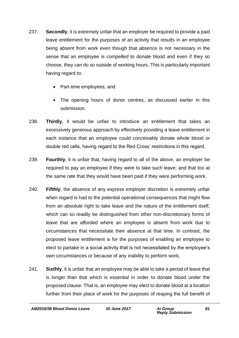- 237. **Secondly**, it is extremely unfair that an employer be required to provide a paid leave entitlement for the purposes of an activity that results in an employee being absent from work even though that absence is not necessary in the sense that an employee is *compelled* to donate blood and even if they so choose, they can do so outside of working hours. This is particularly important having regard to:
	- Part-time employees; and
	- The opening hours of donor centres, as discussed earlier in this submission.
- 238. **Thirdly**, it would be unfair to introduce an entitlement that takes an excessively generous approach by effectively providing a leave entitlement in each instance that an employee could conceivably donate whole blood or double red cells, having regard to the Red Cross' restrictions in this regard.
- 239. **Fourthly**, it is unfair that, having regard to all of the above, an employer be required to pay an employee if they were to take such leave; and that too at the same rate that they would have been paid if they were performing work.
- 240. **Fifthly**, the absence of any express employer discretion is extremely unfair when regard is had to the potential operational consequences that might flow from an absolute right to take leave and the nature of the entitlement itself, which can so readily be distinguished from other non-discretionary forms of leave that are afforded where an employee is absent from work due to circumstances that necessitate their absence at that time. In contrast, the proposed leave entitlement is for the purposes of enabling an employee to elect to partake in a social activity that is not necessitated by the employee's own circumstances or because of any inability to perform work.
- 241. **Sixthly**, it is unfair that an employee may be able to take a period of leave that is longer than that which is essential in order to donate blood under the proposed clause. That is, an employee may elect to donate blood at a location further from their place of work for the purposes of reaping the full benefit of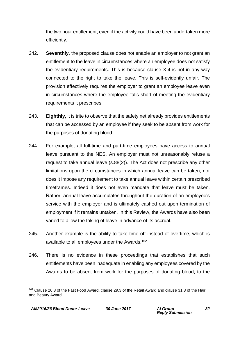the two hour entitlement, even if the activity could have been undertaken more efficiently.

- 242. **Seventhly**, the proposed clause does not enable an employer to not grant an entitlement to the leave in circumstances where an employee does not satisfy the evidentiary requirements. This is because clause X.4 is not in any way connected to the right to take the leave. This is self-evidently unfair. The provision effectively requires the employer to grant an employee leave even in circumstances where the employee falls short of meeting the evidentiary requirements it prescribes.
- 243. **Eighthly,** it is trite to observe that the safety net already provides entitlements that can be accessed by an employee if they seek to be absent from work for the purposes of donating blood.
- 244. For example, all full-time and part-time employees have access to annual leave pursuant to the NES. An employer must not unreasonably refuse a request to take annual leave (s.88(2)). The Act does not prescribe any other limitations upon the circumstances in which annual leave can be taken; nor does it impose any requirement to take annual leave within certain prescribed timeframes. Indeed it does not even mandate that leave must be taken. Rather, annual leave accumulates throughout the duration of an employee's service with the employer and is ultimately cashed out upon termination of employment if it remains untaken. In this Review, the Awards have also been varied to allow the taking of leave in advance of its accrual.
- 245. Another example is the ability to take time off instead of overtime, which is available to all employees under the Awards.<sup>162</sup>
- 246. There is no evidence in these proceedings that establishes that such entitlements have been inadequate in enabling any employees covered by the Awards to be absent from work for the purposes of donating blood, to the

<sup>1</sup> <sup>162</sup> Clause 26.3 of the Fast Food Award, clause 29.3 of the Retail Award and clause 31.3 of the Hair and Beauty Award.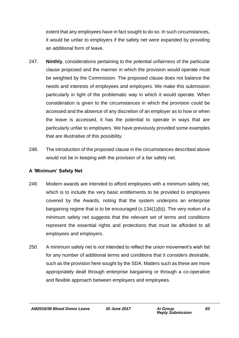extent that any employees have in fact sought to do so. In such circumstances, it would be unfair to employers if the safety net were expanded by providing an additional form of leave.

- 247. **Ninthly**, considerations pertaining to the potential unfairness of the particular clause proposed and the manner in which the provision would operate must be weighted by the Commission. The proposed clause does not balance the needs and interests of employees and employers. We make this submission particularly in light of the problematic way in which it would operate. When consideration is given to the circumstances in which the provision could be accessed and the absence of any discretion of an employer as to how or when the leave is accessed, it has the potential to operate in ways that are particularly unfair to employers. We have previously provided some examples that are illustrative of this possibility.
- 248. The introduction of the proposed clause in the circumstances described above would not be in keeping with the provision of a *fair* safety net.

#### **A 'Minimum' Safety Net**

- 249. Modern awards are intended to afford employees with a minimum safety net, which is to include the very basic entitlements to be provided to employees covered by the Awards, noting that the system underpins an enterprise bargaining regime that is to be encouraged (s.134(1)(b)). The very notion of a minimum safety net suggests that the relevant set of terms and conditions represent the essential rights and protections that must be afforded to all employees and employers.
- 250. A minimum safety net is *not* intended to reflect the union movement's wish list for any number of additional terms and conditions that it considers desirable, such as the provision here sought by the SDA. Matters such as these are more appropriately dealt through enterprise bargaining or through a co-operative and flexible approach between employers and employees.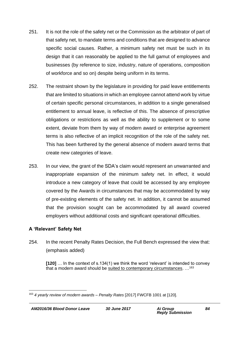- 251. It is not the role of the safety net or the Commission as the arbitrator of part of that safety net, to mandate terms and conditions that are designed to advance specific social causes. Rather, a minimum safety net must be such in its design that it can reasonably be applied to the full gamut of employees and businesses (by reference to size, industry, nature of operations, composition of workforce and so on) despite being uniform in its terms.
- 252. The restraint shown by the legislature in providing for paid leave entitlements that are limited to situations in which an employee cannot attend work by virtue of certain specific personal circumstances, in addition to a single generalised entitlement to annual leave, is reflective of this. The absence of prescriptive obligations or restrictions as well as the ability to supplement or to some extent, deviate from them by way of modern award or enterprise agreement terms is also reflective of an implicit recognition of the role of the safety net. This has been furthered by the general absence of modern award terms that create new categories of leave.
- 253. In our view, the grant of the SDA's claim would represent an unwarranted and inappropriate expansion of the minimum safety net. In effect, it would introduce a new category of leave that could be accessed by any employee covered by the Awards in circumstances that may be accommodated by way of pre-existing elements of the safety net. In addition, it cannot be assumed that the provision sought can be accommodated by all award covered employers without additional costs and significant operational difficulties.

### **A 'Relevant' Safety Net**

254. In the recent Penalty Rates Decision, the Full Bench expressed the view that: (emphasis added)

**[120]** … In the context of s.134(1) we think the word 'relevant' is intended to convey that a modern award should be suited to contemporary circumstances. ...<sup>163</sup>

<sup>1</sup> <sup>163</sup> *4 yearly review of modern awards – Penalty Rates* [2017] FWCFB 1001 at [120].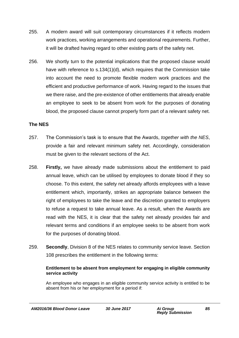- 255. A modern award will suit contemporary circumstances if it reflects modern work practices, working arrangements and operational requirements. Further, it will be drafted having regard to other existing parts of the safety net.
- 256. We shortly turn to the potential implications that the proposed clause would have with reference to s.134(1)(d), which requires that the Commission take into account the need to promote flexible modern work practices and the efficient and productive performance of work. Having regard to the issues that we there raise, and the pre-existence of other entitlements that already enable an employee to seek to be absent from work for the purposes of donating blood, the proposed clause cannot properly form part of a relevant safety net.

### **The NES**

- 257. The Commission's task is to ensure that the Awards, *together with the NES*, provide a fair and relevant minimum safety net. Accordingly, consideration must be given to the relevant sections of the Act.
- 258. **Firstly,** we have already made submissions about the entitlement to paid annual leave, which can be utilised by employees to donate blood if they so choose. To this extent, the safety net already affords employees with a leave entitlement which, importantly, strikes an appropriate balance between the right of employees to take the leave and the discretion granted to employers to refuse a request to take annual leave. As a result, when the Awards are read with the NES, it is clear that the safety net already provides fair and relevant terms and conditions if an employee seeks to be absent from work for the purposes of donating blood.
- 259. **Secondly**, Division 8 of the NES relates to community service leave. Section 108 prescribes the entitlement in the following terms:

#### **Entitlement to be absent from employment for engaging in eligible community service activity**

An employee who engages in an eligible community service activity is entitled to be absent from his or her employment for a period if: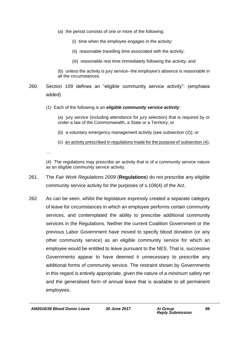- (a) the period consists of one or more of the following:
	- (i) time when the employee engages in the activity;
	- (ii) reasonable travelling time associated with the activity;
	- (iii) reasonable rest time immediately following the activity; and

(b) unless the activity is jury service--the employee's absence is reasonable in all the circumstances.

- 260. Section 109 defines an "eligible community service activity": (emphasis added)
	- (1) Each of the following is an *eligible community service activity*:

(a) jury service (including attendance for jury selection) that is required by or under a law of the Commonwealth, a State or a Territory; or

(b) a voluntary emergency management activity (see subsection (2)); or

(c) an activity prescribed in regulations made for the purpose of subsection (4).

…

(4) The regulations may prescribe an activity that is of a community service nature as an eligible community service activity.

- 261. The *Fair Work Regulations 2009* (**Regulations**) do not prescribe any eligible community service activity for the purposes of s.109(4) of the Act.
- 262. As can be seen, whilst the legislature expressly created a separate category of leave for circumstances in which an employee performs certain community services, and contemplated the ability to prescribe additional community services in the Regulations. Neither the current Coalition Government or the previous Labor Government have moved to specify blood donation (or any other community service) as an eligible community service for which an employee would be entitled to leave pursuant to the NES. That is, successive Governments appear to have deemed it unnecessary to prescribe any additional forms of community service. The restraint shown by Governments in this regard is entirely appropriate, given the nature of a *minimum* safety net and the generalised form of annual leave that is available to all permanent employees.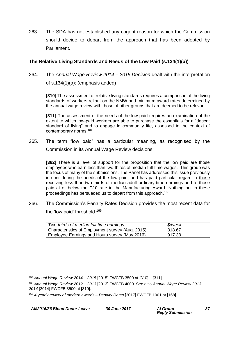263. The SDA has not established any cogent reason for which the Commission should decide to depart from the approach that has been adopted by Parliament.

#### **The Relative Living Standards and Needs of the Low Paid (s.134(1)(a))**

264. The *Annual Wage Review 2014 – 2015 Decision* dealt with the interpretation of s.134(1)(a): (emphasis added)

**[310]** The assessment of relative living standards requires a comparison of the living standards of workers reliant on the NMW and minimum award rates determined by the annual wage review with those of other groups that are deemed to be relevant.

**[311]** The assessment of the needs of the low paid requires an examination of the extent to which low-paid workers are able to purchase the essentials for a "decent standard of living" and to engage in community life, assessed in the context of contemporary norms.<sup>164</sup>

265. The term "low paid" has a particular meaning, as recognised by the Commission in its Annual Wage Review decisions:

**[362]** There is a level of support for the proposition that the low paid are those employees who earn less than two-thirds of median full-time wages. This group was the focus of many of the submissions. The Panel has addressed this issue previously in considering the needs of the low paid, and has paid particular regard to those receiving less than two-thirds of median adult ordinary-time earnings and to those paid at or below the C10 rate in the Manufacturing Award. Nothing put in these proceedings has persuaded us to depart from this approach.<sup>165</sup>

266. The Commission's Penalty Rates Decision provides the most recent data for the 'low paid' threshold:<sup>166</sup>

| Two-thirds of median full-time earnings          | \$/week |
|--------------------------------------------------|---------|
| Characteristics of Employment survey (Aug. 2015) | 818.67  |
| Employee Earnings and Hours survey (May 2016)    | 917.33  |

<sup>1</sup> <sup>164</sup> *Annual Wage Review 2014 – 2015* [2015] FWCFB 3500 at [310] – [311].

<sup>165</sup> *Annual Wage Review 2012 – 2013* [2013] FWCFB 4000. See also *Annual Wage Review 2013 - 2014* [2014] FWCFB 3500 at [310].

<sup>166</sup> *4 yearly review of modern awards – Penalty Rates* [2017] FWCFB 1001 at [168].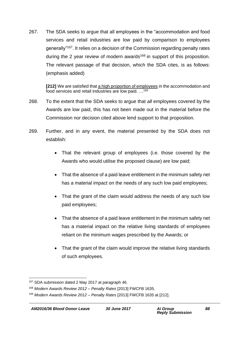267. The SDA seeks to argue that all employees in the "accommodation and food services and retail industries are low paid by comparison to employees generally"<sup>167</sup>. It relies on a decision of the Commission regarding penalty rates during the 2 year review of modern awards<sup>168</sup> in support of this proposition. The relevant passage of that decision, which the SDA cites, is as follows: (emphasis added)

**[212]** We are satisfied that a high proportion of employees in the accommodation and food services and retail industries are low paid. …<sup>169</sup>

- 268. To the extent that the SDA seeks to argue that *all* employees covered by the Awards are low paid, this has not been made out in the material before the Commission nor decision cited above lend support to that proposition.
- 269. Further, and in any event, the material presented by the SDA does not establish:
	- That the relevant group of employees (i.e. those covered by the Awards who would utilise the proposed clause) are low paid;
	- That the absence of a paid leave entitlement in the minimum safety net has a material impact on the needs of any such low paid employees;
	- That the grant of the claim would address the needs of any such low paid employees;
	- That the absence of a paid leave entitlement in the minimum safety net has a material impact on the relative living standards of employees reliant on the minimum wages prescribed by the Awards; or
	- That the grant of the claim would improve the relative living standards of such employees.

<sup>1</sup> <sup>167</sup> SDA submission dated 2 May 2017 at paragraph 46.

<sup>168</sup> *Modern Awards Review 2012 – Penalty Rates* [2013] FWCFB 1635.

<sup>169</sup> *Modern Awards Review 2012 – Penalty Rates* [2013] FWCFB 1635 at [212].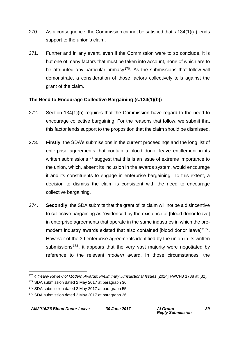- 270. As a consequence, the Commission cannot be satisfied that s.134(1)(a) lends support to the union's claim.
- 271. Further and in any event, even if the Commission were to so conclude, it is but one of many factors that must be taken into account, none of which are to be attributed any particular primacy<sup>170</sup>. As the submissions that follow will demonstrate, a consideration of those factors collectively tells against the grant of the claim.

#### **The Need to Encourage Collective Bargaining (s.134(1)(b))**

- 272. Section 134(1)(b) requires that the Commission have regard to the need to encourage collective bargaining. For the reasons that follow, we submit that this factor lends support to the proposition that the claim should be dismissed.
- 273. **Firstly**, the SDA's submissions in the current proceedings and the long list of enterprise agreements that contain a blood donor leave entitlement in its written submissions<sup>171</sup> suggest that this is an issue of extreme importance to the union, which, absent its inclusion in the awards system, would encourage it and its constituents to engage in enterprise bargaining. To this extent, a decision to dismiss the claim is consistent with the need to encourage collective bargaining.
- 274. **Secondly**, the SDA submits that the grant of its claim will not be a disincentive to collective bargaining as "evidenced by the existence of [blood donor leave] in enterprise agreements that operate in the same industries in which the premodern industry awards existed that also contained [blood donor leave]"<sup>172</sup>. However of the 39 enterprise agreements identified by the union in its written submissions<sup>173</sup>, it appears that the very vast majority were negotiated by reference to the relevant *modern* award. In those circumstances, the

1

<sup>170</sup> *4 Yearly Review of Modern Awards: Preliminary Jurisdictional Issues* [2014] FWCFB 1788 at [32].

<sup>171</sup> SDA submission dated 2 May 2017 at paragraph 36.

<sup>172</sup> SDA submission dated 2 May 2017 at paragraph 55.

<sup>173</sup> SDA submission dated 2 May 2017 at paragraph 36.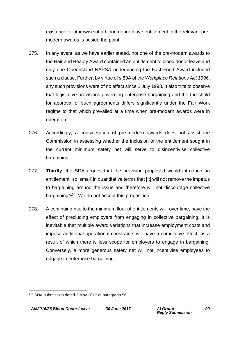existence or otherwise of a blood donor leave entitlement in the relevant premodern awards is beside the point.

- 275. In any event, as we have earlier stated, not one of the pre-modern awards to the Hair and Beauty Award contained an entitlement to blood donor leave and only one Queensland NAPSA underpinning the Fast Food Award included such a clause. Further, by virtue of s.89A of the *Workplace Relations Act 1996*, any such provisions were of no effect since 1 July 1998. It also trite to observe that legislative provisions governing enterprise bargaining and the threshold for approval of such agreements differs significantly under the Fair Work regime to that which prevailed at a time when pre-modern awards were in operation.
- 276. Accordingly, a consideration of pre-modern awards does not assist the Commission in assessing whether the inclusion of the entitlement sought in the current minimum safety net will serve to disincentivise collective bargaining.
- 277. **Thirdly**, the SDA argues that the provision proposed would introduce an entitlement "so 'small' in quantitative terms that [it] will not remove the impetus to bargaining around the issue and therefore will not discourage collective bargaining" <sup>174</sup>. We do not accept this proposition.
- 278. A continuing rise to the minimum floor of entitlements will, over time, have the effect of precluding employers from engaging in collective bargaining. It is inevitable that multiple award variations that increase employment costs and impose additional operational constraints will have a cumulative effect, as a result of which there is less scope for employers to engage in bargaining. Conversely, a more generous safety net will not incentivise employees to engage in enterprise bargaining.

<sup>1</sup> <sup>174</sup> SDA submission dated 2 May 2017 at paragraph 56.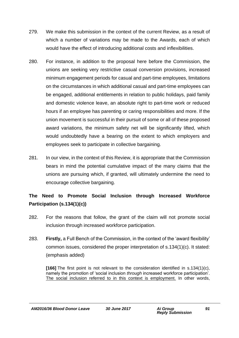- 279. We make this submission in the context of the current Review, as a result of which a number of variations may be made to the Awards, each of which would have the effect of introducing additional costs and inflexibilities.
- 280. For instance, in addition to the proposal here before the Commission, the unions are seeking very restrictive casual conversion provisions, increased minimum engagement periods for casual and part-time employees, limitations on the circumstances in which additional casual and part-time employees can be engaged, additional entitlements in relation to public holidays, paid family and domestic violence leave, an absolute right to part-time work or reduced hours if an employee has parenting or caring responsibilities and more. If the union movement is successful in their pursuit of some or all of these proposed award variations, the minimum safety net will be significantly lifted, which would undoubtedly have a bearing on the extent to which employers and employees seek to participate in collective bargaining.
- 281. In our view, in the context of this Review, it is appropriate that the Commission bears in mind the potential cumulative impact of the many claims that the unions are pursuing which, if granted, will ultimately undermine the need to encourage collective bargaining.

### **The Need to Promote Social Inclusion through Increased Workforce Participation (s.134(1)(c))**

- 282. For the reasons that follow, the grant of the claim will not promote social inclusion through increased workforce participation.
- 283. **Firstly,** a Full Bench of the Commission, in the context of the 'award flexibility' common issues, considered the proper interpretation of s.134(1)(c). It stated: (emphasis added)

**[166]** The first point is not relevant to the consideration identified in s.134(1)(c), namely the promotion of 'social inclusion *through* increased workforce participation'. The social inclusion referred to in this context is employment. In other words,

*AM2016/36 Blood Donor Leave 30 June 2017 Ai Group*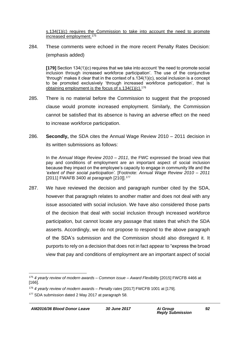s.134(1)(c) requires the Commission to take into account the need to promote increased employment.<sup>175</sup>

284. These comments were echoed in the more recent Penalty Rates Decision: (emphasis added)

**[179]** Section 134(1)(c) requires that we take into account 'the need to promote social inclusion through increased workforce participation'. The use of the conjunctive 'through' makes it clear that in the context of s.134(1)(c), social inclusion is a concept to be promoted exclusively 'through increased workforce participation', that is obtaining employment is the focus of  $s.134(1)(c).$ <sup>176</sup>

- 285. There is no material before the Commission to suggest that the proposed clause would promote increased employment. Similarly, the Commission cannot be satisfied that its absence is having an adverse effect on the need to increase workforce participation.
- 286. **Secondly,** the SDA cites the Annual Wage Review 2010 2011 decision in its written submissions as follows:

In the *Annual Wage Review 2010 – 2011*, the FWC expressed the broad view that pay and conditions of employment are an important aspect of social inclusion because they impact on the employee's capacity to engage in community life and the *'extent of their social participation'.* [Footnote: *Annual Wage Review 2010 – 2011* [2011] FWAFB 3400 at paragraph [210]].<sup>177</sup>

287. We have reviewed the decision and paragraph number cited by the SDA, however that paragraph relates to another matter and does not deal with any issue associated with social inclusion. We have also considered those parts of the decision that deal with social inclusion through increased workforce participation, but cannot locate any passage that states that which the SDA asserts. Accordingly, we do not propose to respond to the above paragraph of the SDA's submission and the Commission should also disregard it. It purports to rely on a decision that does not in fact appear to "express the broad view that pay and conditions of employment are an important aspect of social

<sup>1</sup> <sup>175</sup> *4 yearly review of modern awards – Common issue – Award Flexibility* [2015] FWCFB 4466 at [166].

<sup>176</sup> *4 yearly review of modern awards – Penalty rates* [2017] FWCFB 1001 at [179].

<sup>177</sup> SDA submission dated 2 May 2017 at paragraph 58.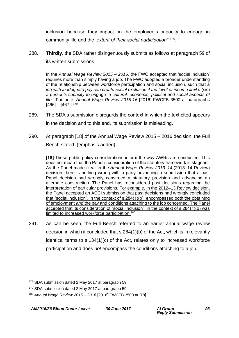inclusion because they impact on the employee's capacity to engage in community life and the '*extent of their social participation'*" 178 .

288. **Thirdly**, the SDA rather disingenuously submits as follows at paragraph 59 of its written submissions:

In the *Annual Wage Review 2015 – 2016,* the FWC accepted that 'social inclusion' requires more than simply having a job. The FWC adopted a broader understanding of the relationship between workforce participation and social inclusion, such that a *job with inadequate pay can create social exclusion if the level of income limit's* (sic) *a person's capacity to engage in cultural, economic, political and social aspects of life*. [Footnote: *Annual Wage Review 2015-16* [2016] FWCFB 3500 at paragraphs  $[466] - [467]$ ].<sup>179</sup>

- 289. The SDA's submission disregards the context in which the text cited appears in the decision and to this end, its submission is misleading.
- 290. At paragraph [18] of the Annual Wage Review 2015 2016 decision, the Full Bench stated: (emphasis added)

**[18]** These public policy considerations inform the way AWRs are conducted. This does not mean that the Panel's consideration of the statutory framework is stagnant. As the Panel made clear in the *Annual Wage Review 2013–14* (2013–14 Review) decision, there is nothing wrong with a party advancing a submission that a past Panel decision had wrongly construed a statutory provision and advancing an alternate construction. The Panel has reconsidered past decisions regarding the interpretation of particular provisions. For example, in the 2012–13 Review decision, the Panel accepted an ACCI submission that past decisions had wrongly concluded that "social inclusion", in the context of s.284(1)(b), encompassed both the obtaining of employment *and* the pay and conditions attaching to the job concerned. The Panel accepted that its consideration of "social inclusion", in the context of s.284(1)(b) was limited to increased workforce participation.<sup>180</sup>

291. As can be seen, the Full Bench referred to an earlier annual wage review decision in which it concluded that s.284(1)(b) of the Act, which is in relevantly identical terms to s.134(1)(c) of the Act, relates only to increased workforce participation and does *not* encompass the conditions attaching to a job.

<sup>1</sup> <sup>178</sup> SDA submission dated 2 May 2017 at paragraph 59.

<sup>&</sup>lt;sup>179</sup> SDA submission dated 2 May 2017 at paragraph 59.

<sup>180</sup> *Annual Wage Review 2015 – 2016* [2016] FWCFB 3500 at [18].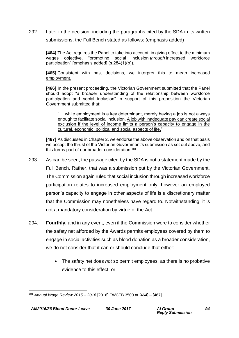292. Later in the decision, including the paragraphs cited by the SDA in its written submissions, the Full Bench stated as follows: (emphasis added)

**[464]** The Act requires the Panel to take into account, in giving effect to the minimum wages objective, "promoting social inclusion *through* increased workforce participation" [emphasis added] (s.284(1)(b)).

**[465]** Consistent with past decisions, we interpret this to mean increased employment.

**[466]** In the present proceeding, the Victorian Government submitted that the Panel should adopt "a broader understanding of the relationship between workforce participation and social inclusion". In support of this proposition the Victorian Government submitted that:

"… while employment is a key determinant, merely having a job is not always enough to facilitate social inclusion. A job with inadequate pay can create social exclusion if the level of income limits a person's capacity to engage in the cultural, economic, political and social aspects of life."

**[467]** As discussed in Chapter 2, we endorse the above observation and on that basis we accept the thrust of the Victorian Government's submission as set out above, and this forms part of our broader consideration. 181

- 293. As can be seen, the passage cited by the SDA is not a statement made by the Full Bench. Rather, that was a submission put by the Victorian Government. The Commission again ruled that social inclusion through increased workforce participation relates to increased employment only, however an employed person's capacity to engage in other aspects of life is a discretionary matter that the Commission may nonetheless have regard to. Notwithstanding, it is not a mandatory consideration by virtue of the Act.
- 294. **Fourthly,** and in any event, even if the Commission were to consider whether the safety net afforded by the Awards permits employees covered by them to engage in social activities such as blood donation as a broader consideration, we do not consider that it can or should conclude that either:
	- The safety net does *not* so permit employees, as there is no probative evidence to this effect; or

<sup>1</sup> <sup>181</sup> *Annual Wage Review 2015 – 2016* [2016] FWCFB 3500 at [464] – [467].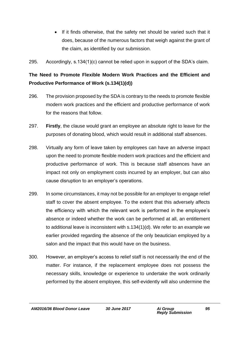- If it finds otherwise, that the safety net should be varied such that it does, because of the numerous factors that weigh against the grant of the claim, as identified by our submission.
- 295. Accordingly, s.134(1)(c) cannot be relied upon in support of the SDA's claim.

## **The Need to Promote Flexible Modern Work Practices and the Efficient and Productive Performance of Work (s.134(1)(d))**

- 296. The provision proposed by the SDA is contrary to the needs to promote flexible modern work practices and the efficient and productive performance of work for the reasons that follow.
- 297. **Firstly**, the clause would grant an employee an absolute right to leave for the purposes of donating blood, which would result in additional staff absences.
- 298. Virtually any form of leave taken by employees can have an adverse impact upon the need to promote flexible modern work practices and the efficient and productive performance of work. This is because staff absences have an impact not only on employment costs incurred by an employer, but can also cause disruption to an employer's operations.
- 299. In some circumstances, it may not be possible for an employer to engage relief staff to cover the absent employee. To the extent that this adversely affects the efficiency with which the relevant work is performed in the employee's absence or indeed whether the work can be performed at all, an entitlement to additional leave is inconsistent with s.134(1)(d). We refer to an example we earlier provided regarding the absence of the only beautician employed by a salon and the impact that this would have on the business.
- 300. However, an employer's access to relief staff is not necessarily the end of the matter. For instance, if the replacement employee does not possess the necessary skills, knowledge or experience to undertake the work ordinarily performed by the absent employee, this self-evidently will also undermine the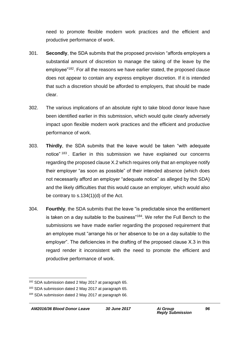need to promote flexible modern work practices and the efficient and productive performance of work.

- 301. **Secondly**, the SDA submits that the proposed provision "affords employers a substantial amount of discretion to manage the taking of the leave by the employee"<sup>182</sup>. For all the reasons we have earlier stated, the proposed clause does not appear to contain any express employer discretion. If it is intended that such a discretion should be afforded to employers, that should be made clear.
- 302. The various implications of an absolute right to take blood donor leave have been identified earlier in this submission, which would quite clearly adversely impact upon flexible modern work practices and the efficient and productive performance of work.
- 303. **Thirdly**, the SDA submits that the leave would be taken "with adequate notice" <sup>183</sup> . Earlier in this submission we have explained our concerns regarding the proposed clause X.2 which requires only that an employee notify their employer "as soon as possible" of their intended absence (which does not necessarily afford an employer "adequate notice" as alleged by the SDA) and the likely difficulties that this would cause an employer, which would also be contrary to s.134(1)(d) of the Act.
- 304. **Fourthly**, the SDA submits that the leave "is predictable since the entitlement is taken on a day suitable to the business"<sup>184</sup>. We refer the Full Bench to the submissions we have made earlier regarding the proposed requirement that an employee must "arrange his or her absence to be on a day suitable to the employer". The deficiencies in the drafting of the proposed clause X.3 in this regard render it inconsistent with the need to promote the efficient and productive performance of work.

<sup>1</sup> <sup>182</sup> SDA submission dated 2 May 2017 at paragraph 65.

<sup>183</sup> SDA submission dated 2 May 2017 at paragraph 65.

<sup>184</sup> SDA submission dated 2 May 2017 at paragraph 66.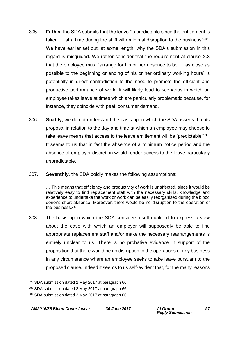- 305. **Fifthly**, the SDA submits that the leave "is predictable since the entitlement is taken  $\ldots$  at a time during the shift with minimal disruption to the business"<sup>185</sup>. We have earlier set out, at some length, why the SDA's submission in this regard is misguided. We rather consider that the requirement at clause X.3 that the employee must "arrange for his or her absence to be … as close as possible to the beginning or ending of his or her ordinary working hours" is potentially in direct contradiction to the need to promote the efficient and productive performance of work. It will likely lead to scenarios in which an employee takes leave at times which are particularly problematic because, for instance, they coincide with peak consumer demand.
- 306. **Sixthly**, we do not understand the basis upon which the SDA asserts that its proposal in relation to the day and time at which an employee may choose to take leave means that access to the leave entitlement will be "predictable"<sup>186</sup>. It seems to us that in fact the absence of a minimum notice period and the absence of employer discretion would render access to the leave particularly *un*predictable.
- 307. **Seventhly**, the SDA boldly makes the following assumptions:

… This means that efficiency and productivity of work is unaffected, since it would be relatively easy to find replacement staff with the necessary skills, knowledge and experience to undertake the work or work can be easily reorganised during the blood donor's short absence. Moreover, there would be no disruption to the operation of the business.<sup>187</sup>

308. The basis upon which the SDA considers itself qualified to express a view about the ease with which an employer will supposedly be able to find appropriate replacement staff and/or make the necessary rearrangements is entirely unclear to us. There is no probative evidence in support of the proposition that there would be no disruption to the operations of any business in any circumstance where an employee seeks to take leave pursuant to the proposed clause. Indeed it seems to us self-evident that, for the many reasons

1

<sup>&</sup>lt;sup>185</sup> SDA submission dated 2 May 2017 at paragraph 66.

<sup>&</sup>lt;sup>186</sup> SDA submission dated 2 May 2017 at paragraph 66.

<sup>&</sup>lt;sup>187</sup> SDA submission dated 2 May 2017 at paragraph 66.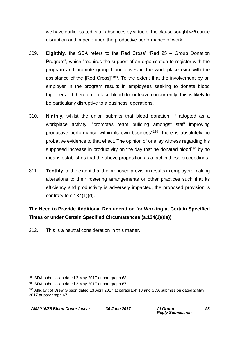we have earlier stated, staff absences by virtue of the clause sought *will* cause disruption and impede upon the productive performance of work.

- 309. **Eighthly**, the SDA refers to the Red Cross' "Red 25 Group Donation Program", which "requires the support of an organisation to register with the program and promote group blood drives in the work place (sic) with the assistance of the [Red Cross]"<sup>188</sup>. To the extent that the involvement by an employer in the program results in employees seeking to donate blood together and therefore to take blood donor leave concurrently, this is likely to be particularly disruptive to a business' operations.
- 310. **Ninthly,** whilst the union submits that blood donation, if adopted as a workplace activity, "promotes team building amongst staff improving productive performance within its own business<sup>"189</sup>, there is absolutely no probative evidence to that effect. The opinion of one lay witness regarding his supposed increase in productivity on the day that he donated blood<sup>190</sup> by no means establishes that the above proposition as a fact in these proceedings.
- 311. **Tenthly**, to the extent that the proposed provision results in employers making alterations to their rostering arrangements or other practices such that its efficiency and productivity is adversely impacted, the proposed provision is contrary to  $s.134(1)(d)$ .

## **The Need to Provide Additional Remuneration for Working at Certain Specified Times or under Certain Specified Circumstances (s.134(1)(da))**

312. This is a neutral consideration in this matter.

<sup>1</sup> 188 SDA submission dated 2 May 2017 at paragraph 68.

<sup>189</sup> SDA submission dated 2 May 2017 at paragraph 67.

<sup>190</sup> Affidavit of Drew Gibson dated 13 April 2017 at paragraph 13 and SDA submission dated 2 May 2017 at paragraph 67.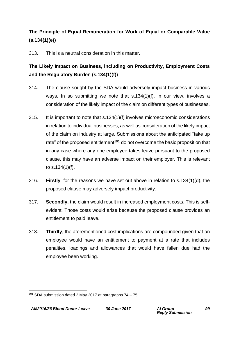### **The Principle of Equal Remuneration for Work of Equal or Comparable Value (s.134(1)(e))**

313. This is a neutral consideration in this matter.

### **The Likely Impact on Business, including on Productivity, Employment Costs and the Regulatory Burden (s.134(1)(f))**

- 314. The clause sought by the SDA would adversely impact business in various ways. In so submitting we note that s.134(1)(f), in our view, involves a consideration of the likely impact of the claim on different types of businesses.
- 315. It is important to note that s.134(1)(f) involves microeconomic considerations in relation to individual businesses, as well as consideration of the likely impact of the claim on industry at large. Submissions about the anticipated "take up rate" of the proposed entitlement<sup>191</sup> do not overcome the basic proposition that in any case where any one employee takes leave pursuant to the proposed clause, this may have an adverse impact on their employer. This is relevant to s.134(1)(f).
- 316. **Firstly**, for the reasons we have set out above in relation to s.134(1)(d), the proposed clause may adversely impact productivity.
- 317. **Secondly,** the claim would result in increased employment costs. This is selfevident. Those costs would arise because the proposed clause provides an entitlement to paid leave.
- 318. **Thirdly**, the aforementioned cost implications are compounded given that an employee would have an entitlement to payment at a rate that includes penalties, loadings and allowances that would have fallen due had the employee been working.

<sup>1</sup> <sup>191</sup> SDA submission dated 2 May 2017 at paragraphs 74 – 75.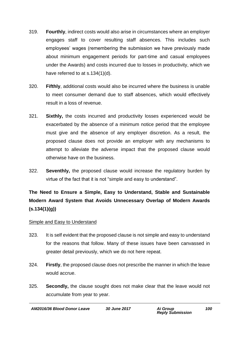- 319. **Fourthly**, indirect costs would also arise in circumstances where an employer engages staff to cover resulting staff absences. This includes such employees' wages (remembering the submission we have previously made about minimum engagement periods for part-time and casual employees under the Awards) and costs incurred due to losses in productivity, which we have referred to at s.134(1)(d).
- 320. **Fifthly**, additional costs would also be incurred where the business is unable to meet consumer demand due to staff absences, which would effectively result in a loss of revenue.
- 321. **Sixthly,** the costs incurred and productivity losses experienced would be exacerbated by the absence of a minimum notice period that the employee must give and the absence of any employer discretion. As a result, the proposed clause does not provide an employer with any mechanisms to attempt to alleviate the adverse impact that the proposed clause would otherwise have on the business.
- 322. **Seventhly,** the proposed clause would increase the regulatory burden by virtue of the fact that it is not "simple and easy to understand".

# **The Need to Ensure a Simple, Easy to Understand, Stable and Sustainable Modern Award System that Avoids Unnecessary Overlap of Modern Awards (s.134(1)(g))**

#### Simple and Easy to Understand

- 323. It is self evident that the proposed clause is not simple and easy to understand for the reasons that follow. Many of these issues have been canvassed in greater detail previously, which we do not here repeat.
- 324. **Firstly**, the proposed clause does not prescribe the manner in which the leave would accrue.
- 325. **Secondly,** the clause sought does not make clear that the leave would not accumulate from year to year.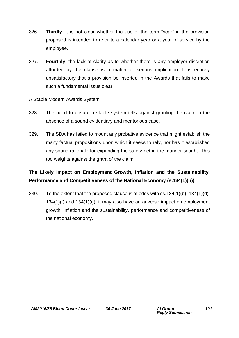- 326. **Thirdly**, it is not clear whether the use of the term "year" in the provision proposed is intended to refer to a calendar year or a year of service by the employee.
- 327. **Fourthly**, the lack of clarity as to whether there is any employer discretion afforded by the clause is a matter of serious implication. It is entirely unsatisfactory that a provision be inserted in the Awards that fails to make such a fundamental issue clear.

#### A Stable Modern Awards System

- 328. The need to ensure a stable system tells against granting the claim in the absence of a sound evidentiary and meritorious case.
- 329. The SDA has failed to mount any probative evidence that might establish the many factual propositions upon which it seeks to rely, nor has it established any sound rationale for expanding the safety net in the manner sought. This too weights against the grant of the claim.

### **The Likely Impact on Employment Growth, Inflation and the Sustainability, Performance and Competitiveness of the National Economy (s.134(1)(h))**

330. To the extent that the proposed clause is at odds with ss.134(1)(b), 134(1)(d), 134(1)(f) and 134(1)(g), it may also have an adverse impact on employment growth, inflation and the sustainability, performance and competitiveness of the national economy.